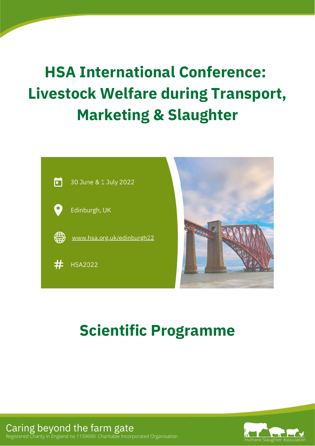# **HSA International Conference: Livestock Welfare during Transport, Marketing & Slaughter**



# **Scientific Programme**



Caring beyond the farm gate  $\hspace{0.1mm}\rule{0.7mm}{.0mm}$ Registered Charity in England no 1159690: Charitable Incorporated Organisation Caring beyond the farm gate Registered Charity in England no 1159690: Charitable Incorporated Organisation Humane Slaughter Association Humane Slaughter Association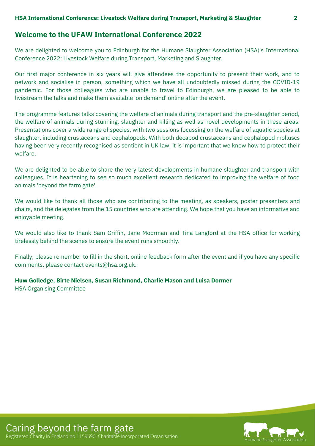# **Welcome to the UFAW International Conference 2022**

We are delighted to welcome you to Edinburgh for the Humane Slaughter Association (HSA)'s International Conference 2022: Livestock Welfare during Transport, Marketing and Slaughter.

Our first major conference in six years will give attendees the opportunity to present their work, and to network and socialise in person, something which we have all undoubtedly missed during the COVID-19 pandemic. For those colleagues who are unable to travel to Edinburgh, we are pleased to be able to livestream the talks and make them available 'on demand' online after the event.

The programme features talks covering the welfare of animals during transport and the pre-slaughter period, the welfare of animals during stunning, slaughter and killing as well as novel developments in these areas. Presentations cover a wide range of species, with two sessions focussing on the welfare of aquatic species at slaughter, including crustaceans and cephalopods. With both decapod crustaceans and cephalopod molluscs having been very recently recognised as sentient in UK law, it is important that we know how to protect their welfare.

We are delighted to be able to share the very latest developments in humane slaughter and transport with colleagues. It is heartening to see so much excellent research dedicated to improving the welfare of food animals 'beyond the farm gate'.

We would like to thank all those who are contributing to the meeting, as speakers, poster presenters and chairs, and the delegates from the 15 countries who are attending. We hope that you have an informative and enjoyable meeting.

We would also like to thank Sam Griffin, Jane Moorman and Tina Langford at the HSA office for working tirelessly behind the scenes to ensure the event runs smoothly.

Finally, please remember to fill in the short, online feedback form after the event and if you have any specific comments, please contact events@hsa.org.uk.

# **Huw Golledge, Birte Nielsen, Susan Richmond, Charlie Mason and Luisa Dormer**

HSA Organising Committee

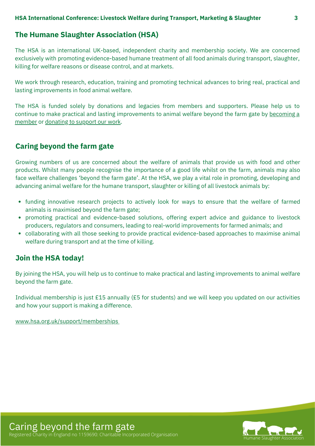# **The Humane Slaughter Association (HSA)**

The HSA is an international UK-based, independent charity and membership society. We are concerned exclusively with promoting evidence-based humane treatment of all food animals during transport, slaughter, killing for welfare reasons or disease control, and at markets.

We work through research, education, training and promoting technical advances to bring real, practical and lasting improvements in food animal welfare.

The HSA is funded solely by donations and legacies from members and supporters. Please help us to continue to make practical and lasting [improvements](https://www.hsa.org.uk/support/memberships) to animal welfare beyond the farm gate by becoming a member or [donating](https://www.hsa.org.uk/support/make-a-donation) to support our work.

# **Caring beyond the farm gate**

Growing numbers of us are concerned about the welfare of animals that provide us with food and other products. Whilst many people recognise the importance of a good life whilst on the farm, animals may also face welfare challenges 'beyond the farm gate'. At the HSA, we play a vital role in promoting, developing and advancing animal welfare for the humane transport, slaughter or killing of all livestock animals by:

- funding innovative research projects to actively look for ways to ensure that the welfare of farmed animals is maximised beyond the farm gate;
- promoting practical and evidence-based solutions, offering expert advice and guidance to livestock producers, regulators and consumers, leading to real-world improvements for farmed animals; and
- collaborating with all those seeking to provide practical evidence-based approaches to maximise animal welfare during transport and at the time of killing.

# **Join the HSA today!**

By joining the HSA, you will help us to continue to make practical and lasting improvements to animal welfare beyond the farm gate.

Individual membership is just £15 annually (£5 for students) and we will keep you updated on our activities and how your support is making a difference.

[www.hsa.org.uk/support/memberships](https://www.hsa.org.uk/support/memberships)



Caring beyond the farm gate Registered Charity in England no 1159690: Charitable Incorporated Organisation Humane Slaughter Association Humane Slaughter Asso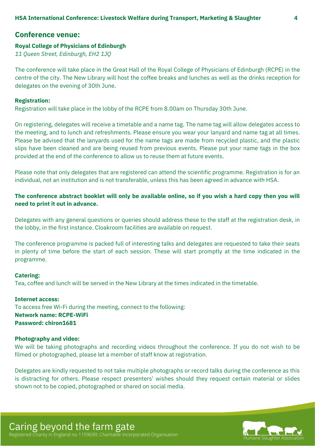### **Conference venue:**

#### **Royal College of [Physicians](https://www.facebook.com/watch/?v=1162941690425071) of Edinburgh**

*11 Queen Street, Edinburgh, EH2 1JQ*

The conference will take place in the Great Hall of the Royal College of Physicians of Edinburgh (RCPE) in the centre of the city. The New Library will host the coffee breaks and lunches as well as the drinks reception for delegates on the evening of 30th June.

#### **Registration:**

Registration will take place in the lobby of the RCPE from 8.00am on Thursday 30th June.

On registering, delegates will receive a timetable and a name tag. The name tag will allow delegates access to the meeting, and to lunch and refreshments. Please ensure you wear your lanyard and name tag at all times. Please be advised that the lanyards used for the name tags are made from recycled plastic, and the plastic slips have been cleaned and are being reused from previous events. Please put your name tags in the box provided at the end of the conference to allow us to reuse them at future events.

Please note that only delegates that are registered can attend the scientific programme. Registration is for an individual, not an institution and is not transferable, unless this has been agreed in advance with HSA.

### The conference abstract booklet will only be available online, so if you wish a hard copy then you will **need to print it out in advance.**

Delegates with any general questions or queries should address these to the staff at the registration desk, in the lobby, in the first instance. Cloakroom facilities are available on request.

The conference programme is packed full of interesting talks and delegates are requested to take their seats in plenty of time before the start of each session. These will start promptly at the time indicated in the programme.

#### **Catering:**

Tea, coffee and lunch will be served in the New Library at the times indicated in the timetable.

**Internet access:** To access free Wi-Fi during the meeting, connect to the following: **Network name: RCPE-WiFi Password: chiron1681**

#### **Photography and video:**

We will be taking photographs and recording videos throughout the conference. If you do not wish to be filmed or photographed, please let a member of staff know at registration.

Delegates are kindly requested to not take multiple photographs or record talks during the conference as this is distracting for others. Please respect presenters' wishes should they request certain material or slides shown not to be copied, photographed or shared on social media.

Caring beyond the farm gate Registered Charity in England no 1159690: Charitable Incorporated Organisation Humane Slaughter Association Humane Slaughter Association

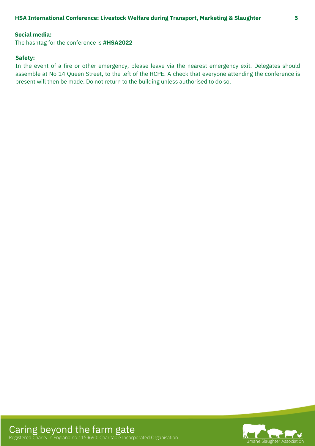#### **Social media:**

The hashtag for the conference is **#HSA2022**

#### **Safety:**

In the event of a fire or other emergency, please leave via the nearest emergency exit. Delegates should assemble at No 14 Queen Street, to the left of the RCPE. A check that everyone attending the conference is present will then be made. Do not return to the building unless authorised to do so.

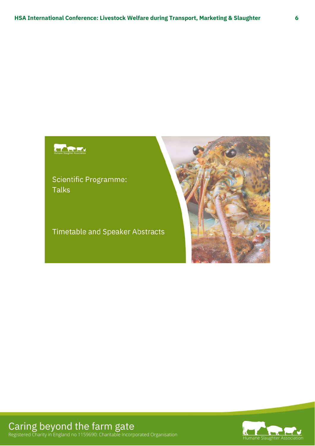# Humane Slaughter Association

Scientific Programme: **Talks** 

**Timetable and Speaker Abstracts** 





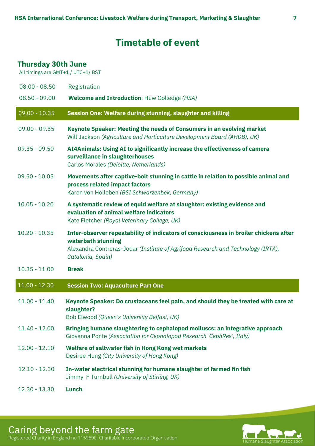# **Timetable of event**

# <span id="page-6-0"></span>**Thursday 30th June**

All timings are GMT+1 / UTC+1/ BST

| $08.00 - 08.50$ | Registration                                                                                                                                                           |
|-----------------|------------------------------------------------------------------------------------------------------------------------------------------------------------------------|
| $08.50 - 09.00$ | <b>Welcome and Introduction: Huw Golledge (HSA)</b>                                                                                                                    |
| $09.00 - 10.35$ | Session One: Welfare during stunning, slaughter and killing                                                                                                            |
| $09.00 - 09.35$ | Keynote Speaker: Meeting the needs of Consumers in an evolving market<br>Will Jackson (Agriculture and Horticulture Development Board (AHDB), UK)                      |
| $09.35 - 09.50$ | AI4Animals: Using AI to significantly increase the effectiveness of camera<br>surveillance in slaughterhouses<br>Carlos Morales (Deloitte, Netherlands)                |
| $09.50 - 10.05$ | Movements after captive-bolt stunning in cattle in relation to possible animal and<br>process related impact factors<br>Karen von Holleben (BSI Schwarzenbek, Germany) |
| $10.05 - 10.20$ | A systematic review of equid welfare at slaughter: existing evidence and<br>evaluation of animal welfare indicators<br>Kate Fletcher (Royal Veterinary College, UK)    |
| $10.20 - 10.35$ | Inter-observer repeatability of indicators of consciousness in broiler chickens after<br>waterbath stunning                                                            |
|                 | Alexandra Contreras-Jodar (Institute of Agrifood Research and Technology (IRTA),<br>Catalonia, Spain)                                                                  |
| $10.35 - 11.00$ | <b>Break</b>                                                                                                                                                           |
| $11.00 - 12.30$ | <b>Session Two: Aquaculture Part One</b>                                                                                                                               |
| $11.00 - 11.40$ | Keynote Speaker: Do crustaceans feel pain, and should they be treated with care at<br>slaughter?<br>Bob Elwood (Queen's University Belfast, UK)                        |
| $11.40 - 12.00$ | Bringing humane slaughtering to cephalopod molluscs: an integrative approach<br>Giovanna Ponte (Association for Cephalopod Research 'CephRes', Italy)                  |
| $12.00 - 12.10$ | Welfare of saltwater fish in Hong Kong wet markets<br>Desiree Hung (City University of Hong Kong)                                                                      |
| $12.10 - 12.30$ | In-water electrical stunning for humane slaughter of farmed fin fish<br>Jimmy F Turnbull (University of Stirling, UK)                                                  |



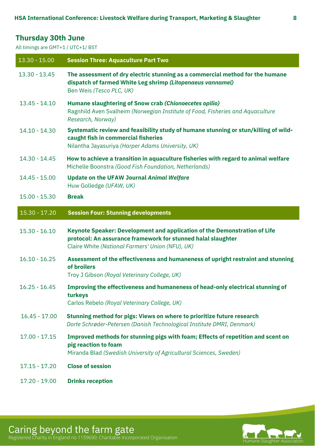# <span id="page-7-0"></span>**Thursday 30th June**

All timings are GMT+1 / UTC+1/ BST

| $13.30 - 15.00$ | <b>Session Three: Aquaculture Part Two</b>                                                                                                                                                    |
|-----------------|-----------------------------------------------------------------------------------------------------------------------------------------------------------------------------------------------|
| $13.30 - 13.45$ | The assessment of dry electric stunning as a commercial method for the humane<br>dispatch of farmed White Leg shrimp (Litopenaeus vannamei)<br>Ben Weis (Tesco PLC, UK)                       |
| $13.45 - 14.10$ | Humane slaughtering of Snow crab (Chionoecetes opilio)<br>Ragnhild Aven Svalheim (Norwegian Institute of Food, Fisheries and Aquaculture<br>Research, Norway)                                 |
| $14.10 - 14.30$ | Systematic review and feasibility study of humane stunning or stun/killing of wild-<br>caught fish in commercial fisheries<br>Nilantha Jayasuriya (Harper Adams University, UK)               |
| 14.30 - 14.45   | How to achieve a transition in aquaculture fisheries with regard to animal welfare<br>Michelle Boonstra (Good Fish Foundation, Netherlands)                                                   |
| $14.45 - 15.00$ | <b>Update on the UFAW Journal Animal Welfare</b><br>Huw Golledge (UFAW, UK)                                                                                                                   |
| $15.00 - 15.30$ | <b>Break</b>                                                                                                                                                                                  |
| $15.30 - 17.20$ | <b>Session Four: Stunning developments</b>                                                                                                                                                    |
|                 |                                                                                                                                                                                               |
| $15.30 - 16.10$ | Keynote Speaker: Development and application of the Demonstration of Life<br>protocol: An assurance framework for stunned halal slaughter<br>Claire White (National Farmers' Union (NFU), UK) |
| $16.10 - 16.25$ | Assessment of the effectiveness and humaneness of upright restraint and stunning<br>of broilers<br>Troy J Gibson (Royal Veterinary College, UK)                                               |
| $16.25 - 16.45$ | Improving the effectiveness and humaneness of head-only electrical stunning of<br>turkeys<br>Carlos Rebelo (Royal Veterinary College, UK)                                                     |
| $16.45 - 17.00$ | Stunning method for pigs: Views on where to prioritize future research<br>Dorte Schrøder-Petersen (Danish Technological Institute DMRI, Denmark)                                              |
| $17.00 - 17.15$ | Improved methods for stunning pigs with foam; Effects of repetition and scent on<br>pig reaction to foam<br>Miranda Blad (Swedish University of Agricultural Sciences, Sweden)                |
| $17.15 - 17.20$ | <b>Close of session</b>                                                                                                                                                                       |

Caring beyond the farm gate Registered Charity in England no 1159690: Charitable Incorporated Organisation Humane Slaughter Association Humane Slaughter Association

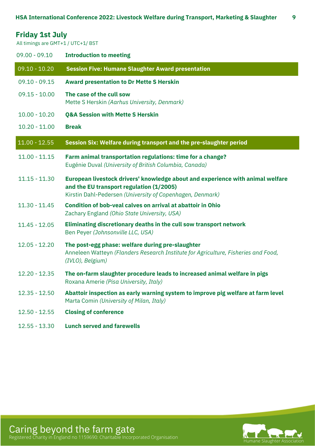<span id="page-8-0"></span>

| <b>Friday 1st July</b> |  |  |  |  |
|------------------------|--|--|--|--|
|------------------------|--|--|--|--|

All timings are GMT+1 / UTC+1/ BST

| $09.00 - 09.10$ | <b>Introduction to meeting</b>                                                                                                                                                          |
|-----------------|-----------------------------------------------------------------------------------------------------------------------------------------------------------------------------------------|
| $09.10 - 10.20$ | <b>Session Five: Humane Slaughter Award presentation</b>                                                                                                                                |
| $09.10 - 09.15$ | <b>Award presentation to Dr Mette S Herskin</b>                                                                                                                                         |
| $09.15 - 10.00$ | The case of the cull sow<br>Mette S Herskin (Aarhus University, Denmark)                                                                                                                |
| $10.00 - 10.20$ | <b>Q&amp;A Session with Mette S Herskin</b>                                                                                                                                             |
| $10.20 - 11.00$ | <b>Break</b>                                                                                                                                                                            |
| $11.00 - 12.55$ | Session Six: Welfare during transport and the pre-slaughter period                                                                                                                      |
| $11.00 - 11.15$ | Farm animal transportation regulations: time for a change?<br>Eugénie Duval (University of British Columbia, Canada)                                                                    |
| $11.15 - 11.30$ | European livestock drivers' knowledge about and experience with animal welfare<br>and the EU transport regulation (1/2005)<br>Kirstin Dahl-Pedersen (University of Copenhagen, Denmark) |
| $11.30 - 11.45$ | Condition of bob-veal calves on arrival at abattoir in Ohio<br>Zachary England (Ohio State University, USA)                                                                             |
| $11.45 - 12.05$ | Eliminating discretionary deaths in the cull sow transport network<br>Ben Peyer (Johnsonville LLC, USA)                                                                                 |
| $12.05 - 12.20$ | The post-egg phase: welfare during pre-slaughter<br>Anneleen Watteyn (Flanders Research Institute for Agriculture, Fisheries and Food,<br>(IVLO), Belgium)                              |
| $12.20 - 12.35$ | The on-farm slaughter procedure leads to increased animal welfare in pigs<br>Roxana Amerie (Pisa University, Italy)                                                                     |
| $12.35 - 12.50$ | Abattoir inspection as early warning system to improve pig welfare at farm level<br>Marta Comin (University of Milan, Italy)                                                            |
| $12.50 - 12.55$ | <b>Closing of conference</b>                                                                                                                                                            |
| $12.55 - 13.30$ | <b>Lunch served and farewells</b>                                                                                                                                                       |



Caring beyond the farm gate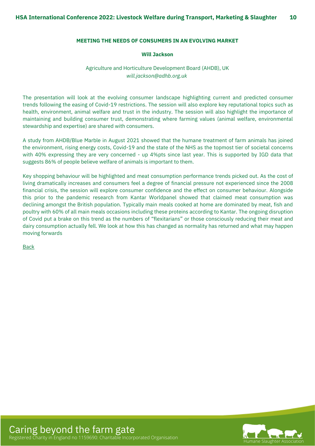#### <span id="page-9-0"></span>**MEETING THE NEEDS OF CONSUMERS IN AN EVOLVING MARKET**

#### **Will Jackson**

#### Agriculture and Horticulture Development Board (AHDB), UK *will.jackson@adhb.org.uk*

The presentation will look at the evolving consumer landscape highlighting current and predicted consumer trends following the easing of Covid-19 restrictions. The session will also explore key reputational topics such as health, environment, animal welfare and trust in the industry. The session will also highlight the importance of maintaining and building consumer trust, demonstrating where farming values (animal welfare, environmental stewardship and expertise) are shared with consumers.

A study from AHDB/Blue Marble in August 2021 showed that the humane treatment of farm animals has joined the environment, rising energy costs, Covid-19 and the state of the NHS as the topmost tier of societal concerns with 40% expressing they are very concerned - up 4%pts since last year. This is supported by IGD data that suggests 86% of people believe welfare of animals is important to them.

Key shopping behaviour will be highlighted and meat consumption performance trends picked out. As the cost of living dramatically increases and consumers feel a degree of financial pressure not experienced since the 2008 financial crisis, the session will explore consumer confidence and the effect on consumer behaviour. Alongside this prior to the pandemic research from Kantar Worldpanel showed that claimed meat consumption was declining amongst the British population. Typically main meals cooked at home are dominated by meat, fish and poultry with 60% of all main meals occasions including these proteins according to Kantar. The ongoing disruption of Covid put a brake on this trend as the numbers of "flexitarians" or those consciously reducing their meat and dairy consumption actually fell. We look at how this has changed as normality has returned and what may happen moving forwards

[Back](#page-6-0)

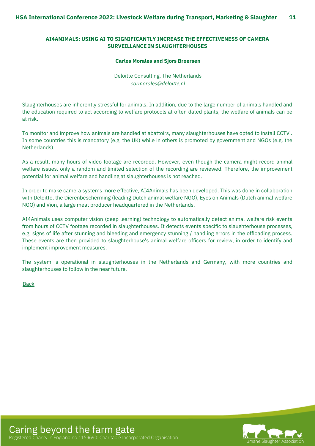#### <span id="page-10-0"></span>**AI4ANIMALS: USING AI TO SIGNIFICANTLY INCREASE THE EFFECTIVENESS OF CAMERA SURVEILLANCE IN SLAUGHTERHOUSES**

#### **Carlos Morales and Sjors Broersen**

Deloitte Consulting, The Netherlands *[carmorales@deloitte.nl](mailto:carmorales@deloitte.nl)*

Slaughterhouses are inherently stressful for animals. In addition, due to the large number of animals handled and the education required to act according to welfare protocols at often dated plants, the welfare of animals can be at risk.

To monitor and improve how animals are handled at abattoirs, many slaughterhouses have opted to install CCTV . In some countries this is mandatory (e.g. the UK) while in others is promoted by government and NGOs (e.g. the Netherlands).

As a result, many hours of video footage are recorded. However, even though the camera might record animal welfare issues, only a random and limited selection of the recording are reviewed. Therefore, the improvement potential for animal welfare and handling at slaughterhouses is not reached.

In order to make camera systems more effective, AI4Animals has been developed. This was done in collaboration with Deloitte, the Dierenbescherming (leading Dutch animal welfare NGO), Eyes on Animals (Dutch animal welfare NGO) and Vion, a large meat producer headquartered in the Netherlands.

AI4Animals uses computer vision (deep learning) technology to automatically detect animal welfare risk events from hours of CCTV footage recorded in slaughterhouses. It detects events specific to slaughterhouse processes, e.g. signs of life after stunning and bleeding and emergency stunning / handling errors in the offloading process. These events are then provided to slaughterhouse's animal welfare officers for review, in order to identify and implement improvement measures.

The system is operational in slaughterhouses in the Netherlands and Germany, with more countries and slaughterhouses to follow in the near future.

**[Back](#page-6-0)** 

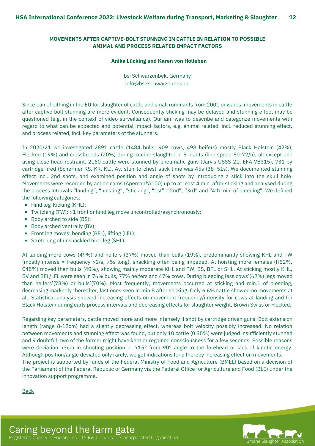#### <span id="page-11-0"></span>**MOVEMENTS AFTER CAPTIVE-BOLT STUNNING IN CATTLE IN RELATION TO POSSIBLE ANIMAL AND PROCESS RELATED IMPACT FACTORS**

#### **Anika Lücking and Karen von Holleben**

bsi Schwarzenbek, Germany info@bsi-schwarzenbek.de

Since ban of pithing in the EU for slaughter of cattle and small ruminants from 2001 onwards, movements in cattle after captive bolt stunning are more evident. Consequently sticking may be delayed and stunning effect may be questioned (e.g. in the context of video surveillance). Our aim was to describe and categorize movements with regard to what can be expected and potential impact factors, e.g. animal related, incl. reduced stunning effect, and process related, incl. key parameters of the stunners.

In 2020/21 we investigated 2891 cattle (1484 bulls, 909 cows, 498 heifers) mostly Black Holstein (42%), Flecked (19%) and crossbreeds (20%) during routine slaughter in 5 plants (line speed 50-72/h), all except one using close head restraint. 2160 cattle were stunned by pneumatic guns (Jarvis USSS-21; EFA VB315), 731 by cartridge fired (Schermer KS, KR, KL). Av. stun-to-chest-stick time was 45s (38–51s). We documented stunning effect incl. 2nd shots, and examined position and angle of shots by introducing a stick into the skull hole. Movements were recorded by action cams (Apeman®A100) up to at least 4 min. after sticking and analysed during the process intervals "landing", "hoisting", "sticking", "1st", "2nd", "3rd" and "4th min. of bleeding". We defined the following categories:

- Hind leg-Kicking (KHL);
- Twitching (TW): >1 front or hind leg move uncontrolled/asynchronously;
- Body arched to side (BS);
- Body arched ventrally (BV);
- Front leg moves: bending (BFL), lifting (LFL);
- Stretching of unshackled hind leg (SHL).

At landing more cows (49%) and heifers (37%) moved than bulls (19%), predominantly showing KHL and TW (mostly intense = frequency >1/s, >5s long), shackling often being impeded. At hoisting more females (H52%, C45%) moved than bulls (40%), showing mainly moderate KHL and TW, BS, BFL or SHL. At sticking mostly KHL, BV and BFL/LFL were seen in 76% bulls, 77% heifers and 47% cows. During bleeding less cows'(62%) legs moved than heifers'(78%) or bulls'(70%). Most frequently, movements occurred at sticking and min.1 of bleeding, decreasing markedly thereafter, last ones seen in min.8 after sticking. Only 6.6% cattle showed no movements at all. Statistical analysis showed increasing effects on movement frequency/intensity for cows at landing and for Black Holstein during early process intervals and decreasing effects for slaughter weight, Brown Swiss or Flecked.

Regarding key parameters, cattle moved more and more intensely if shot by cartridge driven guns. Bolt extension length (range 8-12cm) had a slightly decreasing effect, whereas bolt velocity possibly increased. No relation between movements and stunning effect was found, but only 10 cattle (0.35%) were judged insufficiently stunned and 9 doubtful, two of the former might have kept or regained consciousness for a few seconds. Possible reasons were deviation >3cm in shooting position or >15° from 90° angle to the forehead or lack of kinetic energy. Although position/angle deviated only rarely, we got indications for a thereby increasing effect on movements. The project is supported by funds of the Federal Ministry of Food and Agriculture (BMEL) based on a decision of

the Parliament of the Federal Republic of Germany via the Federal Office for Agriculture and Food (BLE) under the innovation support programme.

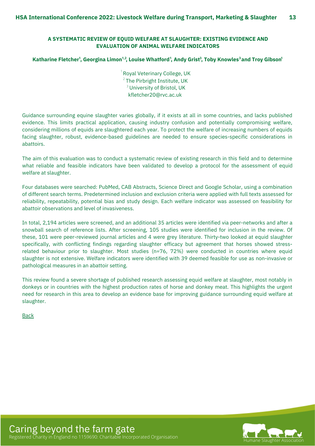#### <span id="page-12-0"></span>**A SYSTEMATIC REVIEW OF EQUID WELFARE AT SLAUGHTER: EXISTING EVIDENCE AND EVALUATION OF ANIMAL WELFARE INDICATORS**

#### Katharine Fletcher $^{\rm I}$ , Georgina Limon $^{1,2}$ , Louise Whatford $^{\rm I}$ , Andy Grist $^{\rm 3}$ , Toby Knowles $^{\rm 3}$ and Troy Gibson $^{\rm I}$

kfletcher20@rvc.ac.uk  $2$  The Pirbright Institute, UK  $^1$  Royal Veterinary College, UK  $^3$ University of Bristol, UK

Guidance surrounding equine slaughter varies globally, if it exists at all in some countries, and lacks published evidence. This limits practical application, causing industry confusion and potentially compromising welfare, considering millions of equids are slaughtered each year. To protect the welfare of increasing numbers of equids facing slaughter, robust, evidence-based guidelines are needed to ensure species-specific considerations in abattoirs.

The aim of this evaluation was to conduct a systematic review of existing research in this field and to determine what reliable and feasible indicators have been validated to develop a protocol for the assessment of equid welfare at slaughter.

Four databases were searched: PubMed, CAB Abstracts, Science Direct and Google Scholar, using a combination of different search terms. Predetermined inclusion and exclusion criteria were applied with full texts assessed for reliability, repeatability, potential bias and study design. Each welfare indicator was assessed on feasibility for abattoir observations and level of invasiveness.

In total, 2,194 articles were screened, and an additional 35 articles were identified via peer-networks and after a snowball search of reference lists. After screening, 105 studies were identified for inclusion in the review. Of these, 101 were peer-reviewed journal articles and 4 were grey literature. Thirty-two looked at equid slaughter specifically, with conflicting findings regarding slaughter efficacy but agreement that horses showed stressrelated behaviour prior to slaughter. Most studies (n=76, 72%) were conducted in countries where equid slaughter is not extensive. Welfare indicators were identified with 39 deemed feasible for use as non-invasive or pathological measures in an abattoir setting.

This review found a severe shortage of published research assessing equid welfare at slaughter, most notably in donkeys or in countries with the highest production rates of horse and donkey meat. This highlights the urgent need for research in this area to develop an evidence base for improving guidance surrounding equid welfare at slaughter.

**[Back](#page-6-0)** 

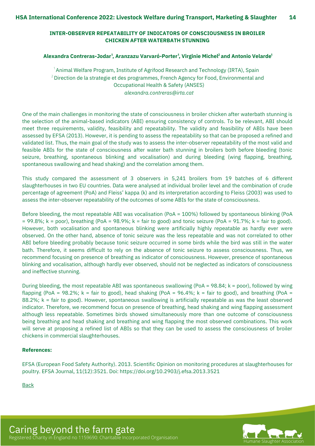#### <span id="page-13-0"></span>**INTER-OBSERVER REPEATABILITY OF INDICATORS OF CONSCIOUSNESS IN BROILER CHICKEN AFTER WATERBATH STUNNING**

#### **Alexandra Contreras-Jodar , Aranzazu Varvaró-Porter , Virginie Michel and Antonio Velarde 1 1 2 1**

*alexandra.contreras@irta.cat*  $^{\circ}$ Animal Welfare Program, Institute of Agrifood Research and Technology (IRTA), Spain  $^{\rm 2}$ Direction de la strategie et des programmes, French Agency for Food, Environmental and Occupational Health & Safety (ANSES)

One of the main challenges in monitoring the state of consciousness in broiler chicken after waterbath stunning is the selection of the animal-based indicators (ABI) ensuring consistency of controls. To be relevant, ABI should meet three requirements, validity, feasibility and repeatability. The validity and feasibility of ABIs have been assessed by EFSA (2013). However, it is pending to assess the repeatability so that can be proposed a refined and validated list. Thus, the main goal of the study was to assess the inter-observer repeatability of the most valid and feasible ABIs for the state of consciousness after water bath stunning in broilers both before bleeding (tonic seizure, breathing, spontaneous blinking and vocalisation) and during bleeding (wing flapping, breathing, spontaneous swallowing and head shaking) and the correlation among them.

This study compared the assessment of 3 observers in 5,241 broilers from 19 batches of 6 different slaughterhouses in two EU countries. Data were analysed at individual broiler level and the combination of crude percentage of agreement (PoA) and Fleiss' kappa (k) and its interpretation according to Fleiss (2003) was used to assess the inter-observer repeatability of the outcomes of some ABIs for the state of consciousness.

Before bleeding, the most repeatable ABI was vocalisation (PoA = 100%) followed by spontaneous blinking (PoA  $= 99.8\%$ ; k = poor), breathing (PoA = 98.9%; k = fair to good) and tonic seizure (PoA = 91.7%; k = fair to good). However, both vocalisation and spontaneous blinking were artificially highly repeatable as hardly ever were observed. On the other hand, absence of tonic seizure was the less repeatable and was not correlated to other ABI before bleeding probably because tonic seizure occurred in some birds while the bird was still in the water bath. Therefore, it seems difficult to rely on the absence of tonic seizure to assess consciousness. Thus, we recommend focusing on presence of breathing as indicator of consciousness. However, presence of spontaneous blinking and vocalisation, although hardly ever observed, should not be neglected as indicators of consciousness and ineffective stunning.

During bleeding, the most repeatable ABI was spontaneous swallowing (PoA = 98.84;  $k =$  poor), followed by wing flapping (PoA = 98.2%;  $k = \text{fair to good}$ ), head shaking (PoA = 96.4%;  $k = \text{fair to good}$ ), and breathing (PoA = 88.2%; k = fair to good). However, spontaneous swallowing is artificially repeatable as was the least observed indicator. Therefore, we recommend focus on presence of breathing, head shaking and wing flapping assessment although less repeatable. Sometimes birds showed simultaneously more than one outcome of consciousness being breathing and head shaking and breathing and wing flapping the most observed combinations. This work will serve at proposing a refined list of ABIs so that they can be used to assess the consciousness of broiler chickens in commercial slaughterhouses.

#### **References:**

EFSA (European Food Safety Authority). 2013. Scientific Opinion on monitoring procedures at slaughterhouses for poultry. EFSA Journal, 11(12):3521. Doi: https://doi.org/10.2903/j.efsa.2013.3521

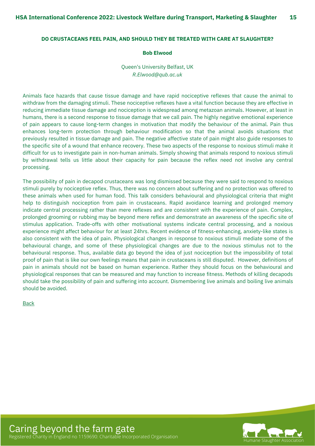#### <span id="page-14-0"></span>**DO CRUSTACEANS FEEL PAIN, AND SHOULD THEY BE TREATED WITH CARE AT SLAUGHTER?**

#### **Bob Elwood**

Queen's University Belfast, UK *R.Elwood@qub.ac.uk*

Animals face hazards that cause tissue damage and have rapid nociceptive reflexes that cause the animal to withdraw from the damaging stimuli. These nociceptive reflexes have a vital function because they are effective in reducing immediate tissue damage and nociception is widespread among metazoan animals. However, at least in humans, there is a second response to tissue damage that we call pain. The highly negative emotional experience of pain appears to cause long-term changes in motivation that modify the behaviour of the animal. Pain thus enhances long-term protection through behaviour modification so that the animal avoids situations that previously resulted in tissue damage and pain. The negative affective state of pain might also guide responses to the specific site of a wound that enhance recovery. These two aspects of the response to noxious stimuli make it difficult for us to investigate pain in non-human animals. Simply showing that animals respond to noxious stimuli by withdrawal tells us little about their capacity for pain because the reflex need not involve any central processing.

The possibility of pain in decapod crustaceans was long dismissed because they were said to respond to noxious stimuli purely by nociceptive reflex. Thus, there was no concern about suffering and no protection was offered to these animals when used for human food. This talk considers behavioural and physiological criteria that might help to distinguish nociception from pain in crustaceans. Rapid avoidance learning and prolonged memory indicate central processing rather than mere reflexes and are consistent with the experience of pain. Complex, prolonged grooming or rubbing may be beyond mere reflex and demonstrate an awareness of the specific site of stimulus application. Trade-offs with other motivational systems indicate central processing, and a noxious experience might affect behaviour for at least 24hrs. Recent evidence of fitness-enhancing, anxiety-like states is also consistent with the idea of pain. Physiological changes in response to noxious stimuli mediate some of the behavioural change, and some of these physiological changes are due to the noxious stimulus not to the behavioural response. Thus, available data go beyond the idea of just nociception but the impossibility of total proof of pain that is like our own feelings means that pain in crustaceans is still disputed. However, definitions of pain in animals should not be based on human experience. Rather they should focus on the behavioural and physiological responses that can be measured and may function to increase fitness. Methods of killing decapods should take the possibility of pain and suffering into account. Dismembering live animals and boiling live animals should be avoided.

[Back](#page-6-0)



Caring beyond the farm gate Registered Charity in England no 1159690: Charitable Incorporated Organisation Humane Slaughter Association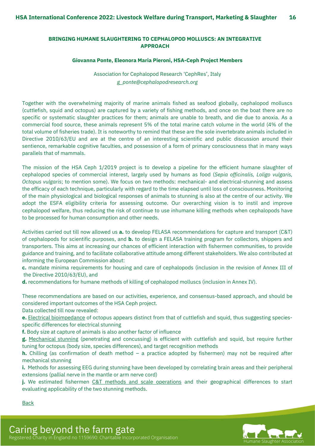#### <span id="page-15-0"></span>**BRINGING HUMANE SLAUGHTERING TO CEPHALOPOD MOLLUSCS: AN INTEGRATIVE APPROACH**

#### **Giovanna Ponte, Eleonora Maria Pieroni, HSA-Ceph Project Members**

Association for Cephalopod Research 'CephRes', Italy *g\_ponte@cephalopodresearch.org*

Together with the overwhelming majority of marine animals fished as seafood globally, cephalopod molluscs (cuttlefish, squid and octopus) are captured by a variety of fishing methods, and once on the boat there are no specific or systematic slaughter practices for them; animals are unable to breath, and die due to anoxia. As a commercial food source, these animals represent 5% of the total marine catch volume in the world (4% of the total volume of fisheries trade). It is noteworthy to remind that these are the sole invertebrate animals included in Directive 2010/63/EU and are at the centre of an interesting scientific and public discussion around their sentience, remarkable cognitive faculties, and possession of a form of primary consciousness that in many ways parallels that of mammals.

The mission of the HSA Ceph 1/2019 project is to develop a pipeline for the efficient humane slaughter of cephalopod species of commercial interest, largely used by humans as food (*Sepia officinalis, Loligo vulgaris, Octopus vulgaris*; to mention some). We focus on two methods: mechanical- and electrical-stunning and assess the efficacy of each technique, particularly with regard to the time elapsed until loss of consciousness. Monitoring of the main physiological and biological responses of animals to stunning is also at the centre of our activity. We adopt the ESFA eligibility criteria for assessing outcome. Our overarching vision is to instil and improve cephalopod welfare, thus reducing the risk of continue to use inhumane killing methods when cephalopods have to be processed for human consumption and other needs.

Activities carried out till now allowed us **a.** to develop FELASA recommendations for capture and transport (C&T) of cephalopods for scientific purposes, and **b.** to design a FELASA training program for collectors, shippers and transporters. This aims at increasing our chances of efficient interaction with fishermen communities, to provide guidance and training, and to facilitate collaborative attitude among different stakeholders. We also contributed at informing the European Commission about:

**c.** mandate minima requirements for housing and care of cephalopods (inclusion in the revision of Annex III of the Directive 2010/63/EU), and

**d.** recommendations for humane methods of killing of cephalopod molluscs (inclusion in Annex IV).

These recommendations are based on our activities, experience, and consensus-based approach, and should be considered important outcomes of the HSA Ceph project.

Data collected till now revealed:

**e.** Electrical bioimpedance of octopus appears distinct from that of cuttlefish and squid, thus suggesting speciesspecific differences for electrical stunning

**f.** Body size at capture of animals is also another factor of influence

**g.** Mechanical stunning (penetrating and concussing) is efficient with cuttlefish and squid, but require further tuning for octopus (body size, species differences), and target recognition methods

**h.** Chilling (as confirmation of death method – a practice adopted by fishermen) may not be required after mechanical stunning

**i.** Methods for assessing EEG during stunning have been developed by correlating brain areas and their peripheral extensions (pallial nerve in the mantle or arm nerve cord)

**j.** We estimated fishermen C&T methods and scale operations and their geographical differences to start evaluating applicability of the two stunning methods.

[Back](#page-6-0)

Caring beyond the farm gate Registered Charity in England no 1159690: Charitable Incorporated Organisation Humane Slaughter Association

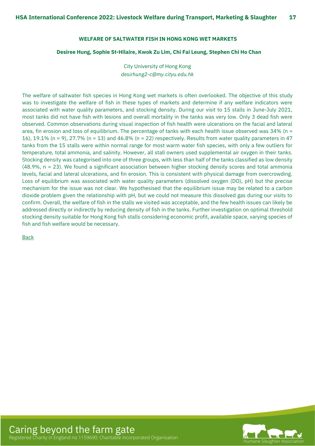#### **WELFARE OF SALTWATER FISH IN HONG KONG WET MARKETS**

#### <span id="page-16-0"></span>**Desiree Hung, Sophie St-Hilaire, Kwok Zu Lim, Chi Fai Leung, Stephen Chi Ho Chan**

City University of Hong Kong *[desirhung2-c@my.cityu.edu.hk](mailto:carmorales@deloitte.nl)*

The welfare of saltwater fish species in Hong Kong wet markets is often overlooked. The objective of this study was to investigate the welfare of fish in these types of markets and determine if any welfare indicators were associated with water quality parameters, and stocking density. During our visit to 15 stalls in June-July 2021, most tanks did not have fish with lesions and overall mortality in the tanks was very low. Only 3 dead fish were observed. Common observations during visual inspection of fish health were ulcerations on the facial and lateral area, fin erosion and loss of equilibrium. The percentage of tanks with each health issue observed was 34% (n = 16), 19.1% (n = 9), 27.7% (n = 13) and 46.8% (n = 22) respectively. Results from water quality parameters in 47 tanks from the 15 stalls were within normal range for most warm water fish species, with only a few outliers for temperature, total ammonia, and salinity. However, all stall owners used supplemental air oxygen in their tanks. Stocking density was categorised into one of three groups, with less than half of the tanks classified as low density (48.9%, n = 23). We found a significant association between higher stocking density scores and total ammonia levels, facial and lateral ulcerations, and fin erosion. This is consistent with physical damage from overcrowding. Loss of equilibrium was associated with water quality parameters (dissolved oxygen (DO), pH) but the precise mechanism for the issue was not clear. We hypothesised that the equilibrium issue may be related to a carbon dioxide problem given the relationship with pH, but we could not measure this dissolved gas during our visits to confirm. Overall, the welfare of fish in the stalls we visited was acceptable, and the few health issues can likely be addressed directly or indirectly by reducing density of fish in the tanks. Further investigation on optimal threshold stocking density suitable for Hong Kong fish stalls considering economic profit, available space, varying species of fish and fish welfare would be necessary.

[Back](#page-6-0)

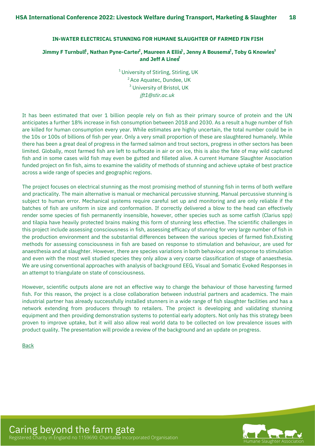#### <span id="page-17-0"></span>**IN-WATER ELECTRICAL STUNNING FOR HUMANE SLAUGHTER OF FARMED FIN FISH**

#### Jimmy F Turnbul $^{a}$ , Nathan Pyne-Carter $^{2}$ , Maureen A Ellis $^{1}$ , Jenny A Bousem $\vec{x}$ , Toby G Knowles $^{3}$ **and Jeff A Lines 2**

*[jft1@stir.ac.uk](mailto:carmorales@deloitte.nl)*  $^1$ University of Stirling, Stirling, UK <sup>2</sup> Ace Aquatec, Dundee, UK  $^3$  University of Bristol, UK

It has been estimated that over 1 billion people rely on fish as their primary source of protein and the UN anticipates a further 18% increase in fish consumption between 2018 and 2030. As a result a huge number of fish are killed for human consumption every year. While estimates are highly uncertain, the total number could be in the 10s or 100s of billions of fish per year. Only a very small proportion of these are slaughtered humanely. While there has been a great deal of progress in the farmed salmon and trout sectors, progress in other sectors has been limited. Globally, most farmed fish are left to suffocate in air or on ice, this is also the fate of may wild captured fish and in some cases wild fish may even be gutted and filleted alive. A current Humane Slaughter Association funded project on fin fish, aims to examine the validity of methods of stunning and achieve uptake of best practice across a wide range of species and geographic regions.

The project focuses on electrical stunning as the most promising method of stunning fish in terms of both welfare and practicality. The main alternative is manual or mechanical percussive stunning. Manual percussive stunning is subject to human error. Mechanical systems require careful set up and monitoring and are only reliable if the batches of fish are uniform in size and conformation. If correctly delivered a blow to the head can effectively render some species of fish permanently insensible, however, other species such as some catfish (Clarius spp) and tilapia have heavily protected brains making this form of stunning less effective. The scientific challenges in this project include assessing consciousness in fish, assessing efficacy of stunning for very large number of fish in the production environment and the substantial differences between the various species of farmed fish.Existing methods for assessing consciousness in fish are based on response to stimulation and behaviour, are used for anaesthesia and at slaughter. However, there are species variations in both behaviour and response to stimulation and even with the most well studied species they only allow a very coarse classification of stage of anaesthesia. We are using conventional approaches with analysis of background EEG, Visual and Somatic Evoked Responses in an attempt to triangulate on state of consciousness.

However, scientific outputs alone are not an effective way to change the behaviour of those harvesting farmed fish. For this reason, the project is a close collaboration between industrial partners and academics. The main industrial partner has already successfully installed stunners in a wide range of fish slaughter facilities and has a network extending from producers through to retailers. The project is developing and validating stunning equipment and then providing demonstration systems to potential early adopters. Not only has this strategy been proven to improve uptake, but it will also allow real world data to be collected on low prevalence issues with product quality. The presentation will provide a review of the background and an update on progress.

[Back](#page-6-0)

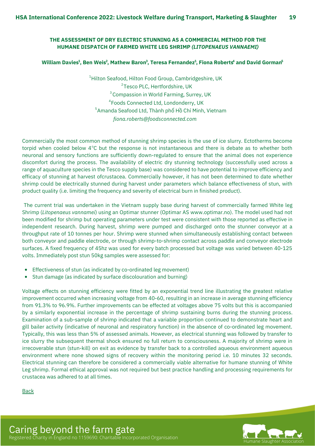#### <span id="page-18-0"></span>**THE ASSESSMENT OF DRY ELECTRIC STUNNING AS A COMMERCIAL METHOD FOR THE HUMANE DISPATCH OF FARMED WHITE LEG SHRIMP** *(LITOPENAEUS VANNAEMI)*

#### William Davies<sup>1</sup>, Ben Weis<sup>2</sup>, Mathew Baron<sup>3</sup>, Teresa Fernandez<sup>1</sup>, Fiona Roberts<sup>4</sup> and David Gorman<sup>5</sup>

*fiona.roberts@foodsconnected.com* <sup>2</sup>Tesco PLC, Hertfordshire, UK  $^4$ Hilton Seafood, Hilton Food Group, Cambridgeshire, UK <sup>4</sup> Foods Connected Ltd, Londonderry, UK  $^5$ Amanda Seafood Ltd, Thành phố Hồ Chí Minh, Vietnam  $3$  Compassion in World Farming, Surrey, UK

Commercially the most common method of stunning shrimp species is the use of ice slurry. Ectotherms become torpid when cooled below  $4^{\circ}$ C but the response is not instantaneous and there is debate as to whether both neuronal and sensory functions are sufficiently down-regulated to ensure that the animal does not experience discomfort during the process. The availability of electric dry stunning technology (successfully used across a range of aquaculture species in the Tesco supply base) was considered to have potential to improve efficiency and efficacy of stunning at harvest ofcrustacea. Commercially however, it has not been determined to date whether shrimp could be electrically stunned during harvest under parameters which balance effectiveness of stun, with product quality (i.e. limiting the frequency and severity of electrical burn in finished product).

The current trial was undertaken in the Vietnam supply base during harvest of commercially farmed White leg Shrimp (*Litopenaeus vannamei*) using an Optimar stunner (Optimar AS www.optimar.no). The model used had not been modified for shrimp but operating parameters under test were consistent with those reported as effective in independent research. During harvest, shrimp were pumped and discharged onto the stunner conveyor at a throughput rate of 10 tonnes per hour. Shrimp were stunned when simultaneously establishing contact between both conveyor and paddle electrode, or through shrimp-to-shrimp contact across paddle and conveyor electrode surfaces. A fixed frequency of 45hz was used for every batch processed but voltage was varied between 40-125 volts. Immediately post stun 50kg samples were assessed for:

- Effectiveness of stun (as indicated by co-ordinated leg movement)
- Stun damage (as indicated by surface discolouration and burning)  $\bullet$

Voltage effects on stunning efficiency were fitted by an exponential trend line illustrating the greatest relative improvement occurred when increasing voltage from 40-60, resulting in an increase in average stunning efficiency from 91.3% to 96.9%. Further improvements can be effected at voltages above 75 volts but this is accompanied by a similarly exponential increase in the percentage of shrimp sustaining burns during the stunning process. Examination of a sub-sample of shrimp indicated that a variable proportion continued to demonstrate heart and gill bailer activity (indicative of neuronal and respiratory function) in the absence of co-ordinated leg movement. Typically, this was less than 5% of assessed animals. However, as electrical stunning was followed by transfer to ice slurry the subsequent thermal shock ensured no full return to consciousness. A majority of shrimp were in irrecoverable stun (stun-kill) on exit as evidence by transfer back to a controlled aqueous environment aqueous environment where none showed signs of recovery within the monitoring period i.e. 10 minutes 32 seconds. Electrical stunning can therefore be considered a commercially viable alternative for humane stunning of White Leg shrimp. Formal ethical approval was not required but best practice handling and processing requirements for crustacea was adhered to at all times.

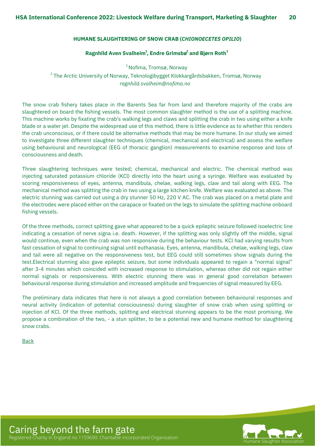#### <span id="page-19-0"></span>**HUMANE SLAUGHTERING OF SNOW CRAB (***CHIONOECETES OPILIO***)**

#### **Ragnhild Aven Svalheim , Endre Grimsbø and Bjørn Roth 1 2 1**

*ragnhild.svalheim@nofima.no* <sup>1</sup> Nofima, Tromsø, Norway  $^2$ The Arctic University of Norway, Teknologibygget Klokkargårdsbakken, Tromsø, Norway

The snow crab fishery takes place in the Barents Sea far from land and therefore majority of the crabs are slaughtered on board the fishing vessels. The most common slaughter method is the use of a splitting machine. This machine works by fixating the crab's walking legs and claws and splitting the crab in two using either a knife blade or a water jet. Despite the widespread use of this method, there is little evidence as to whether this renders the crab unconscious, or if there could be alternative methods that may be more humane. In our study we aimed to investigate three different slaughter techniques (chemical, mechanical and electrical) and assess the welfare using behavioural and neurological (EEG of thoracic ganglion) measurements to examine response and loss of consciousness and death.

Three slaughtering techniques were tested; chemical, mechanical and electric. The chemical method was injecting saturated potassium chloride (KCl) directly into the heart using a syringe. Welfare was evaluated by scoring responsiveness of eyes, antenna, mandibula, chelae, walking legs, claw and tail along with EEG. The mechanical method was splitting the crab in two using a large kitchen knife. Welfare was evaluated as above. The electric stunning was carried out using a dry stunner 50 Hz, 220 V AC. The crab was placed on a metal plate and the electrodes were placed either on the carapace or fixated on the legs to simulate the splitting machine onboard fishing vessels.

Of the three methods, correct splitting gave what appeared to be a quick epileptic seizure followed isoelectric line indicating a cessation of nerve signa i.e. death. However, if the splitting was only slightly off the middle, signal would continue, even when the crab was non responsive during the behaviour tests. KCl had varying results from fast cessation of signal to continuing signal until euthanasia. Eyes, antenna, mandibula, chelae, walking legs, claw and tail were all negative on the responsiveness test, but EEG could still sometimes show signals during the test.Electrical stunning also gave epileptic seizure, but some individuals appeared to regain a "normal signal" after 3-4 minutes which coincided with increased response to stimulation, whereas other did not regain either normal signals or responsiveness. With electric stunning there was in general good correlation between behavioural response during stimulation and increased amplitude and frequencies of signal measured by EEG.

The preliminary data indicates that here is not always a good correlation between behavioural responses and neural activity (indication of potential consciousness) during slaughter of snow crab when using splitting or injection of KCl. Of the three methods, splitting and electrical stunning appears to be the most promising. We propose a combination of the two, - a stun splitter, to be a potential new and humane method for slaughtering snow crabs.

[Back](#page-7-0)

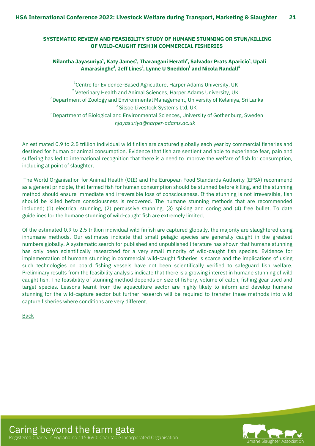#### <span id="page-20-0"></span>**SYSTEMATIC REVIEW AND FEASIBILITY STUDY OF HUMANE STUNNING OR STUN/KILLING OF WILD-CAUGHT FISH IN COMMERCIAL FISHERIES**

#### **Nilantha Jayasuriya , Katy James , Tharangani Herath , Salvador Prats Aparicio , Upali 1 1 1 2 Amarasinghe , Jeff Lines , Lynne U Sneddon and Nicola Randall 1 3 4 5**

*njayasuriya@harper-adams.ac.uk*  $^{1}$ Centre for Evidence-Based Agriculture, Harper Adams University, UK  $^{\text{2}}$  Veterinary Health and Animal Sciences, Harper Adams University, UK  $^3$ Department of Zoology and Environmental Management, University of Kelaniya, Sri Lanka <sup>4</sup>Silsoe Livestock Systems Ltd, UK  $^5$ Department of Biological and Environmental Sciences, University of Gothenburg, Sweden

An estimated 0.9 to 2.5 trillion individual wild finfish are captured globally each year by commercial fisheries and destined for human or animal consumption. Evidence that fish are sentient and able to experience fear, pain and suffering has led to international recognition that there is a need to improve the welfare of fish for consumption, including at point of slaughter.

The World Organisation for Animal Health (OIE) and the European Food Standards Authority (EFSA) recommend as a general principle, that farmed fish for human consumption should be stunned before killing, and the stunning method should ensure immediate and irreversible loss of consciousness. If the stunning is not irreversible, fish should be killed before consciousness is recovered. The humane stunning methods that are recommended included; (1) electrical stunning, (2) percussive stunning, (3) spiking and coring and (4) free bullet. To date guidelines for the humane stunning of wild-caught fish are extremely limited.

Of the estimated 0.9 to 2.5 trillion individual wild finfish are captured globally, the majority are slaughtered using inhumane methods. Our estimates indicate that small pelagic species are generally caught in the greatest numbers globally. A systematic search for published and unpublished literature has shown that humane stunning has only been scientifically researched for a very small minority of wild-caught fish species. Evidence for implementation of humane stunning in commercial wild-caught fisheries is scarce and the implications of using such technologies on board fishing vessels have not been scientifically verified to safeguard fish welfare. Preliminary results from the feasibility analysis indicate that there is a growing interest in humane stunning of wild caught fish. The feasibility of stunning method depends on size of fishery, volume of catch, fishing gear used and target species. Lessons learnt from the aquaculture sector are highly likely to inform and develop humane stunning for the wild-capture sector but further research will be required to transfer these methods into wild capture fisheries where conditions are very different.

[Back](#page-7-0)

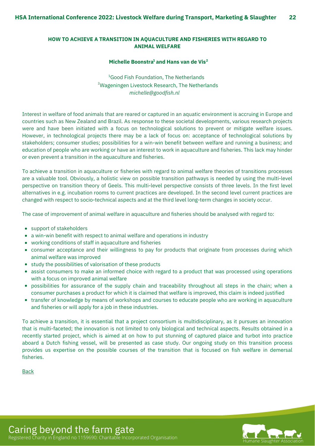#### <span id="page-21-0"></span>**HOW TO ACHIEVE A TRANSITION IN AQUACULTURE AND FISHERIES WITH REGARD TO ANIMAL WELFARE**

#### **Michelle Boonstra and Hans van de Vis 1 2**

*michelle@goodfish.nl*  $1$ Good Fish Foundation, The Netherlands  $2$ Wageningen Livestock Research, The Netherlands

Interest in welfare of food animals that are reared or captured in an aquatic environment is accruing in Europe and countries such as New Zealand and Brazil. As response to these societal developments, various research projects were and have been initiated with a focus on technological solutions to prevent or mitigate welfare issues. However, in technological projects there may be a lack of focus on: acceptance of technological solutions by stakeholders; consumer studies; possibilities for a win-win benefit between welfare and running a business; and education of people who are working or have an interest to work in aquaculture and fisheries. This lack may hinder or even prevent a transition in the aquaculture and fisheries.

To achieve a transition in aquaculture or fisheries with regard to animal welfare theories of transitions processes are a valuable tool. Obviously, a holistic view on possible transition pathways is needed by using the multi-level perspective on transition theory of Geels. This multi-level perspective consists of three levels. In the first level alternatives in e.g. incubation rooms to current practices are developed. In the second level current practices are changed with respect to socio-technical aspects and at the third level long-term changes in society occur.

The case of improvement of animal welfare in aquaculture and fisheries should be analysed with regard to:

- support of stakeholders
- a win-win benefit with respect to animal welfare and operations in industry
- working conditions of staff in aquaculture and fisheries
- consumer acceptance and their willingness to pay for products that originate from processes during which animal welfare was improved
- study the possibilities of valorisation of these products
- assist consumers to make an informed choice with regard to a product that was processed using operations with a focus on improved animal welfare
- possibilities for assurance of the supply chain and traceability throughout all steps in the chain; when a consumer purchases a product for which it is claimed that welfare is improved, this claim is indeed justified
- transfer of knowledge by means of workshops and courses to educate people who are working in aquaculture and fisheries or will apply for a job in these industries.

To achieve a transition, it is essential that a project consortium is multidisciplinary, as it pursues an innovation that is multi-faceted; the innovation is not limited to only biological and technical aspects. Results obtained in a recently started project, which is aimed at on how to put stunning of captured plaice and turbot into practice aboard a Dutch fishing vessel, will be presented as case study. Our ongoing study on this transition process provides us expertise on the possible courses of the transition that is focused on fish welfare in demersal fisheries.

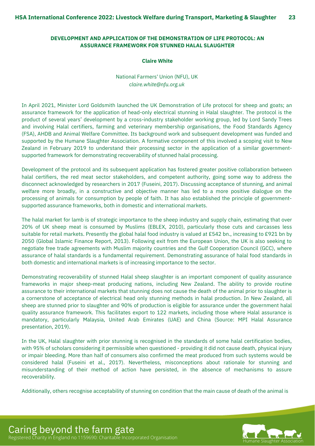#### <span id="page-22-0"></span>**DEVELOPMENT AND APPLICATION OF THE DEMONSTRATION OF LIFE PROTOCOL: AN ASSURANCE FRAMEWORK FOR STUNNED HALAL SLAUGHTER**

#### **Claire White**

National Farmers' Union (NFU), UK *claire.white@nfu.org.uk*

In April 2021, Minister Lord Goldsmith launched the UK Demonstration of Life protocol for sheep and goats; an assurance framework for the application of head-only electrical stunning in Halal slaughter. The protocol is the product of several years' development by a cross-industry stakeholder working group, led by Lord Sandy Trees and involving Halal certifiers, farming and veterinary membership organisations, the Food Standards Agency (FSA), AHDB and Animal Welfare Committee. Its background work and subsequent development was funded and supported by the Humane Slaughter Association. A formative component of this involved a scoping visit to New Zealand in February 2019 to understand their processing sector in the application of a similar governmentsupported framework for demonstrating recoverability of stunned halal processing.

Development of the protocol and its subsequent application has fostered greater positive collaboration between halal certifiers, the red meat sector stakeholders, and competent authority, going some way to address the disconnect acknowledged by researchers in 2017 (Fuseini, 2017). Discussing acceptance of stunning, and animal welfare more broadly, in a constructive and objective manner has led to a more positive dialogue on the processing of animals for consumption by people of faith. It has also established the principle of governmentsupported assurance frameworks, both in domestic and international markets.

The halal market for lamb is of strategic importance to the sheep industry and supply chain, estimating that over 20% of UK sheep meat is consumed by Muslims (EBLEX, 2010), particularly those cuts and carcasses less suitable for retail markets. Presently the global halal food industry is valued at £542 bn., increasing to £921 bn by 2050 (Global Islamic Finance Report, 2013). Following exit from the European Union, the UK is also seeking to negotiate free trade agreements with Muslim majority countries and the Gulf Cooperation Council (GCC), where assurance of halal standards is a fundamental requirement. Demonstrating assurance of halal food standards in both domestic and international markets is of increasing importance to the sector.

Demonstrating recoverability of stunned Halal sheep slaughter is an important component of quality assurance frameworks in major sheep-meat producing nations, including New Zealand. The ability to provide routine assurance to their international markets that stunning does not cause the death of the animal prior to slaughter is a cornerstone of acceptance of electrical head only stunning methods in halal production. In New Zealand, all sheep are stunned prior to slaughter and 90% of production is eligible for assurance under the government halal quality assurance framework. This facilitates export to 122 markets, including those where Halal assurance is mandatory, particularly Malaysia, United Arab Emirates (UAE) and China (Source: MPI Halal Assurance presentation, 2019).

In the UK, Halal slaughter with prior stunning is recognised in the standards of some halal certification bodies, with 95% of scholars considering it permissible when questioned - providing it did not cause death, physical injury or impair bleeding. More than half of consumers also confirmed the meat produced from such systems would be considered halal (Fuseini et al., 2017). Nevertheless, misconceptions about rationale for stunning and misunderstanding of their method of action have persisted, in the absence of mechanisms to assure recoverability.

Additionally, others recognise acceptability of stunning on condition that the main cause of death of the animal is



Caring beyond the farm gate Registered Charity in England no 1159690: Charitable Incorporated Organisation Humane Slaughter Association Humane Slaughter Association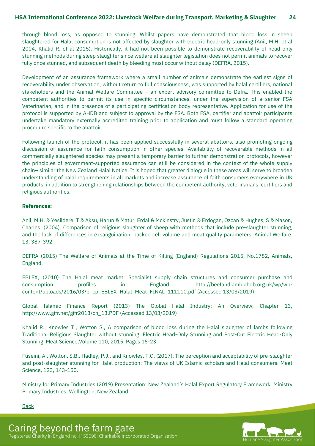through blood loss, as opposed to stunning. Whilst papers have demonstrated that blood loss in sheep slaughtered for Halal consumption is not affected by slaughter with electric head-only stunning (Anil, M.H. et al 2004, Khalid R. et al 2015). Historically, it had not been possible to demonstrate recoverability of head only stunning methods during sleep slaughter since welfare at slaughter legislation does not permit animals to recover fully once stunned, and subsequent death by bleeding must occur without delay (DEFRA, 2015).

Development of an assurance framework where a small number of animals demonstrate the earliest signs of recoverability under observation, without return to full consciousness, was supported by halal certifiers, national stakeholders and the Animal Welfare Committee – an expert advisory committee to Defra. This enabled the competent authorities to permit its use in specific circumstances, under the supervision of a senior FSA Veterinarian, and in the presence of a participating certification body representative. Application for use of the protocol is supported by AHDB and subject to approval by the FSA. Both FSA, certifier and abattoir participants undertake mandatory externally accredited training prior to application and must follow a standard operating procedure specific to the abattoir.

Following launch of the protocol, it has been applied successfully in several abattoirs, also promoting ongoing discussion of assurance for faith consumption in other species. Availability of recoverable methods in all commercially slaughtered species may present a temporary barrier to further demonstration protocols, however the principles of government-supported assurance can still be considered in the context of the whole supply chain– similar the New Zealand Halal Notice. It is hoped that greater dialogue in these areas will serve to broaden understanding of halal requirements in all markets and increase assurance of faith consumers everywhere in UK products, in addition to strengthening relationships between the competent authority, veterinarians, certifiers and religious authorities.

#### **References:**

Anil, M.H. & Yesildere, T & Aksu, Harun & Matur, Erdal & Mckinstry, Justin & Erdogan, Ozcan & Hughes, S & Mason, Charles. (2004). Comparison of religious slaughter of sheep with methods that include pre-slaughter stunning, and the lack of differences in exsanguination, packed cell volume and meat quality parameters. Animal Welfare. 13. 387-392.

DEFRA (2015) The Welfare of Animals at the Time of Killing (England) Regulations 2015, No.1782, Animals, England.

EBLEX, (2010) The Halal meat market: Specialist supply chain structures and consumer purchase and consumption profiles in England; http://beefandlamb.ahdb.org.uk/wp/wpcontent/uploads/2016/03/p\_cp\_EBLEX\_Halal\_Meat\_FINAL\_111110.pdf (Accessed 13/03/2019)

Global Islamic Finance Report (2013) The Global Halal Industry: An Overview; Chapter 13, http://www.gifr.net/gifr2013/ch\_13.PDF (Accessed 13/03/2019)

Khalid R., Knowles T., Wotton S., A comparison of blood loss during the Halal slaughter of lambs following Traditional Religious Slaughter without stunning, Electric Head-Only Stunning and Post-Cut Electric Head-Only Stunning, Meat Science,Volume 110, 2015, Pages 15-23.

Fuseini, A., Wotton, S.B., Hadley, P.J., and Knowles, T.G. (2017). The perception and acceptability of pre-slaughter and post-slaughter stunning for Halal production: The views of UK Islamic scholars and Halal consumers. Meat Science, 123, 143-150.

Ministry for Primary Industries (2019) Presentation: New Zealand's Halal Export Regulatory Framework. Ministry Primary Industries; Wellington, New Zealand.

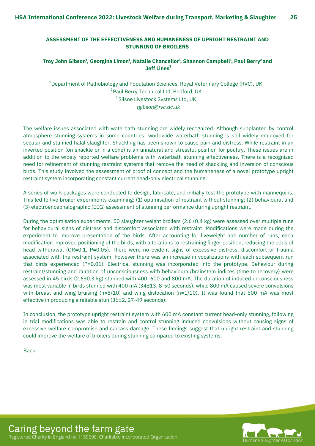#### <span id="page-24-0"></span>**ASSESSMENT OF THE EFFECTIVENESS AND HUMANENESS OF UPRIGHT RESTRAINT AND STUNNING OF BROILERS**

#### Troy John Gibson<sup>1</sup>, Georgina Limon<sup>1</sup>, Natalie Chancellor<sup>1</sup>, Shannon Campbell<sup>1</sup>, Paul Berry<sup>2</sup> and **Jeff Lines 3**

*tgibson@rvc.ac.uk*  $^{\rm 1}$ Department of Pathobiology and Population Sciences, Royal Veterinary College (RVC), UK <sup>2</sup> Paul Berry Technical Ltd, Bedford, UK  $3$  Silsoe Livestock Systems Ltd, UK

The welfare issues associated with waterbath stunning are widely recognized. Although supplanted by control atmosphere stunning systems in some countries, worldwide waterbath stunning is still widely employed for secular and stunned halal slaughter. Shackling has been shown to cause pain and distress. While restraint in an inverted position (on shackle or in a cone) is an unnatural and stressful position for poultry. These issues are in addition to the widely reported welfare problems with waterbath stunning effectiveness. There is a recognized need for refinement of stunning restraint systems that remove the need of shackling and inversion of conscious birds. This study involved the assessment of proof of concept and the humaneness of a novel prototype upright restraint system incorporating constant current head-only electrical stunning.

A series of work packages were conducted to design, fabricate, and initially test the prototype with mannequins. This led to live broiler experiments examining: (1) optimisation of restraint without stunning; (2) behavioural and (3) electroencephalographic (EEG) assessment of stunning performance during upright restraint.

During the optimisation experiments, 50 slaughter weight broilers (2.6±0.4 kg) were assessed over multiple runs for behavioural signs of distress and discomfort associated with restraint. Modifications were made during the experiment to improve presentation of the birds. After accounting for liveweight and number of runs, each modification improved positioning of the birds, with alterations to restraining finger position, reducing the odds of head withdrawal (OR=0.1, P=0.05). There were no evident signs of excessive distress, discomfort or trauma associated with the restraint system, however there was an increase in vocalizations with each subsequent run that birds experienced (P=0.01). Electrical stunning was incorporated into the prototype. Behaviour during restraint/stunning and duration of unconsciousness with behavioural/brainstem indices (time to recovery) were assessed in 45 birds (2.6±0.3 kg) stunned with 400, 600 and 800 mA. The duration of induced unconsciousness was most variable in birds stunned with 400 mA (34±13, 8-50 seconds), while 800 mA caused severe convulsions with breast and wing bruising ( $n=8/10$ ) and wing dislocation ( $n=1/10$ ). It was found that 600 mA was most effective in producing a reliable stun (36±2, 27-49 seconds).

In conclusion, the prototype upright restraint system with 600 mA constant current head-only stunning, following in trial modifications was able to restrain and control stunning induced convulsions without causing signs of excessive welfare compromise and carcass damage. These findings suggest that upright restraint and stunning could improve the welfare of broilers during stunning compared to existing systems.

**[Back](#page-7-0)** 



Caring beyond the farm gate Registered Charity in England no 1159690: Charitable Incorporated Organisation Humane Slaughter Association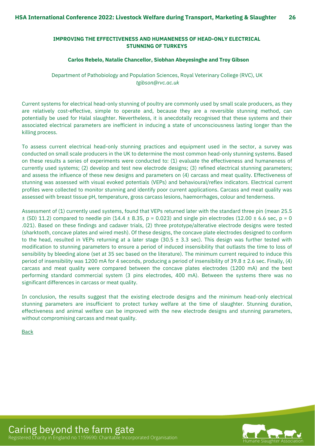#### <span id="page-25-0"></span>**IMPROVING THE EFFECTIVENESS AND HUMANENESS OF HEAD-ONLY ELECTRICAL STUNNING OF TURKEYS**

#### **Carlos Rebelo, Natalie Chancellor, Siobhan Abeyesinghe and Troy Gibson**

Department of Pathobiology and Population Sciences, Royal Veterinary College (RVC), UK *tgibson@rvc.ac.uk*

Current systems for electrical head-only stunning of poultry are commonly used by small scale producers, as they are relatively cost-effective, simple to operate and, because they are a reversible stunning method, can potentially be used for Halal slaughter. Nevertheless, it is anecdotally recognised that these systems and their associated electrical parameters are inefficient in inducing a state of unconsciousness lasting longer than the killing process.

To assess current electrical head-only stunning practices and equipment used in the sector, a survey was conducted on small scale producers in the UK to determine the most common head-only stunning systems. Based on these results a series of experiments were conducted to: (1) evaluate the effectiveness and humaneness of currently used systems; (2) develop and test new electrode designs; (3) refined electrical stunning parameters; and assess the influence of these new designs and parameters on (4) carcass and meat quality. Effectiveness of stunning was assessed with visual evoked potentials (VEPs) and behavioural/reflex indicators. Electrical current profiles were collected to monitor stunning and identify poor current applications. Carcass and meat quality was assessed with breast tissue pH, temperature, gross carcass lesions, haemorrhages, colour and tenderness.

Assessment of (1) currently used systems, found that VEPs returned later with the standard three pin (mean 25.5  $\pm$  (SD) 11.2) compared to needle pin (14.4  $\pm$  8.35, p = 0.023) and single pin electrodes (12.00  $\pm$  6.6 sec, p = 0 .021). Based on these findings and cadaver trials, (2) three prototype/alterative electrode designs were tested (sharktooth, concave plates and wired mesh). Of these designs, the concave plate electrodes designed to conform to the head, resulted in VEPs returning at a later stage (30.5  $\pm$  3.3 sec). This design was further tested with modification to stunning parameters to ensure a period of induced insensibility that outlasts the time to loss of sensibility by bleeding alone (set at 35 sec based on the literature). The minimum current required to induce this period of insensibility was 1200 mA for 4 seconds, producing a period of insensibility of 39.8 ± 2.6 sec. Finally, (4) carcass and meat quality were compared between the concave plates electrodes (1200 mA) and the best performing standard commercial system (3 pins electrodes, 400 mA). Between the systems there was no significant differences in carcass or meat quality.

In conclusion, the results suggest that the existing electrode designs and the minimum head-only electrical stunning parameters are insufficient to protect turkey welfare at the time of slaughter. Stunning duration, effectiveness and animal welfare can be improved with the new electrode designs and stunning parameters, without compromising carcass and meat quality.

**[Back](#page-7-0)** 



Caring beyond the farm gate Registered Charity in England no 1159690: Charitable Incorporated Organisation Humane Slaughter Association Humane Slaughter Associ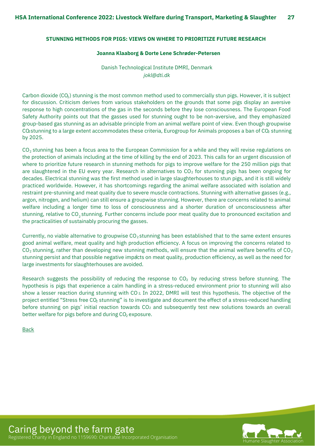#### <span id="page-26-0"></span>**STUNNING METHODS FOR PIGS: VIEWS ON WHERE TO PRIORITIZE FUTURE RESEARCH**

#### **Joanna Klaaborg & Dorte Lene Schrøder-Petersen**

Danish Technological Institute DMRI, Denmark *jokl@dti.dk*

Carbon dioxide (CO<sub>2</sub>) stunning is the most common method used to commercially stun pigs. However, it is subject for discussion. Criticism derives from various stakeholders on the grounds that some pigs display an aversive response to high concentrations of the gas in the seconds before they lose consciousness. The European Food Safety Authority points out that the gasses used for stunning ought to be non-aversive, and they emphasized group-based gas stunning as an advisable principle from an animal welfare point of view. Even though groupwise CO<sub>2</sub>stunning to a large extent accommodates these criteria, Eurogroup for Animals proposes a ban of  $CO<sub>2</sub>$  stunning by 2025.

CO $_2$  stunning has been a focus area to the European Commission for a while and they will revise regulations on the protection of animals including at the time of killing by the end of 2023. This calls for an urgent discussion of where to prioritize future research in stunning methods for pigs to improve welfare for the 250 million pigs that are slaughtered in the EU every year. Research in alternatives to CO $_{2}$  for stunning pigs has been ongoing for decades. Electrical stunning was the first method used in large slaughterhouses to stun pigs, and it is still widely practiced worldwide. However, it has shortcomings regarding the animal welfare associated with isolation and restraint pre-stunning and meat quality due to severe muscle contractions. Stunning with alternative gasses (e.g., argon, nitrogen, and helium) can still ensure a groupwise stunning. However, there are concerns related to animal welfare including a longer time to loss of consciousness and a shorter duration of unconsciousness after stunning, relative to CO $_2$ stunning. Further concerns include poor meat quality due to pronounced excitation and the practicalities of sustainably procuring the gasses.

stunning persist and that possible negative impacts on meat quality, production efficiency, as well as the need for Currently, no viable alternative to groupwise CO $_2$ stunning has been established that to the same extent ensures good animal welfare, meat quality and high production efficiency. A focus on improving the concerns related to CO $_2$  stunning, rather than developing new stunning methods, will ensure that the animal welfare benefits of CO $_2$ large investments for slaughterhouses are avoided.

Research suggests the possibility of reducing the response to CO $_2$  by reducing stress before stunning. The hypothesis is pigs that experience a calm handling in a stress-reduced environment prior to stunning will also show a lesser reaction during stunning with CO2 In 2022, DMRI will test this hypothesis. The objective of the project entitled "Stress free CO $_2$  stunning" is to investigate and document the effect of a stress-reduced handling before stunning on pigs' initial reaction towards CO $_2$  and subsequently test new solutions towards an overall better welfare for pigs before and during CO $_2$  exposure.

[Back](#page-7-0)



Caring beyond the farm gate Registered Charity in England no 1159690: Charitable Incorporated Organisation Humane Slaughter Association Humane Slaughter Association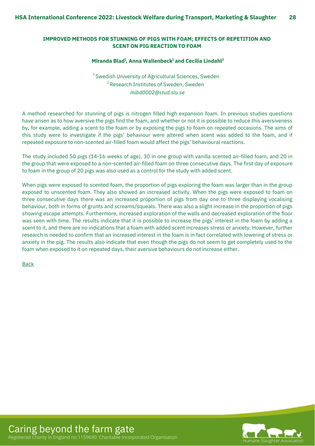#### <span id="page-27-0"></span>**IMPROVED METHODS FOR STUNNING OF PIGS WITH FOAM; EFFECTS OF REPETITION AND SCENT ON PIG REACTION TO FOAM**

#### **Miranda Blad , Anna Wallenbeck and Cecilia Lindahl 1 1 2**

*mibd0002@stud.slu.se*  $^1$ Swedish University of Agricultural Sciences, Sweden  $2$ Research Institutes of Sweden, Sweden

A method researched for stunning of pigs is nitrogen filled high expansion foam. In previous studies questions have arisen as to how aversive the pigs find the foam, and whether or not it is possible to reduce this aversiveness by, for example, adding a scent to the foam or by exposing the pigs to foam on repeated occasions. The aims of this study were to investigate if the pigs' behaviour were altered when scent was added to the foam, and if repeated exposure to non-scented air-filled foam would affect the pigs' behavioural reactions.

The study included 50 pigs (14-16 weeks of age), 30 in one group with vanilla scented air-filled foam, and 20 in the group that were exposed to a non-scented air-filled foam on three consecutive days. The first day of exposure to foam in the group of 20 pigs was also used as a control for the study with added scent.

When pigs were exposed to scented foam, the proportion of pigs exploring the foam was larger than in the group exposed to unscented foam. They also showed an increased activity. When the pigs were exposed to foam on three consecutive days there was an increased proportion of pigs from day one to three displaying vocalising behaviour, both in forms of grunts and screams/squeals. There was also a slight increase in the proportion of pigs showing escape attempts. Furthermore, increased exploration of the walls and decreased exploration of the floor was seen with time. The results indicate that it is possible to increase the pigs' interest in the foam by adding a scent to it, and there are no indications that a foam with added scent increases stress or anxiety. However, further research is needed to confirm that an increased interest in the foam is in fact correlated with lowering of stress or anxiety in the pig. The results also indicate that even though the pigs do not seem to get completely used to the foam when exposed to it on repeated days, their aversive behaviours do not increase either.

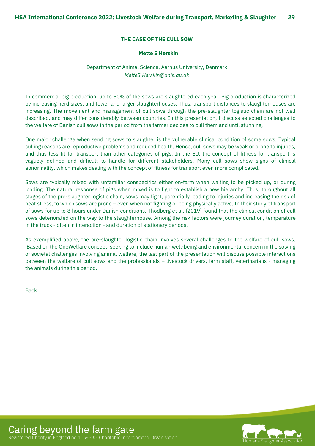#### **THE CASE OF THE CULL SOW**

#### **Mette S Herskin**

#### Department of Animal Science, Aarhus University, Denmark *[MetteS.Herskin@anis.au.dk](mailto:MetteS.Herskin@anis.au.dk)*

<span id="page-28-0"></span>In commercial pig production, up to 50% of the sows are slaughtered each year. Pig production is characterized by increasing herd sizes, and fewer and larger slaughterhouses. Thus, transport distances to slaughterhouses are increasing. The movement and management of cull sows through the pre-slaughter logistic chain are not well described, and may differ considerably between countries. In this presentation, I discuss selected challenges to the welfare of Danish cull sows in the period from the farmer decides to cull them and until stunning.

One major challenge when sending sows to slaughter is the vulnerable clinical condition of some sows. Typical culling reasons are reproductive problems and reduced health. Hence, cull sows may be weak or prone to injuries, and thus less fit for transport than other categories of pigs. In the EU, the concept of fitness for transport is vaguely defined and difficult to handle for different stakeholders. Many cull sows show signs of clinical abnormality, which makes dealing with the concept of fitness for transport even more complicated.

Sows are typically mixed with unfamiliar conspecifics either on-farm when waiting to be picked up, or during loading. The natural response of pigs when mixed is to fight to establish a new hierarchy. Thus, throughout all stages of the pre-slaughter logistic chain, sows may fight, potentially leading to injuries and increasing the risk of heat stress, to which sows are prone – even when not fighting or being physically active. In their study of transport of sows for up to 8 hours under Danish conditions, Thodberg et al. (2019) found that the clinical condition of cull sows deteriorated on the way to the slaughterhouse. Among the risk factors were journey duration, temperature in the truck - often in interaction - and duration of stationary periods.

As exemplified above, the pre-slaughter logistic chain involves several challenges to the welfare of cull sows. Based on the OneWelfare concept, seeking to include human well-being and environmental concern in the solving of societal challenges involving animal welfare, the last part of the presentation will discuss possible interactions between the welfare of cull sows and the professionals – livestock drivers, farm staff, veterinarians - managing the animals during this period.

[Back](#page-8-0)

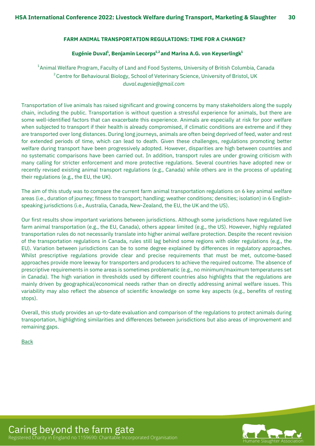#### <span id="page-29-0"></span>**FARM ANIMAL TRANSPORTATION REGULATIONS: TIME FOR A CHANGE?**

#### **Eugénie Duval , Benjamin Lecorps and Marina A.G. von Keyserlingk 1 1,2 1**

*duval.eugenie@gmail.com*  $^{\rm 1}$ Animal Welfare Program, Faculty of Land and Food Systems, University of British Columbia, Canada  $^{\text{2}}$ Centre for Behavioural Biology, School of Veterinary Science, University of Bristol, UK

Transportation of live animals has raised significant and growing concerns by many stakeholders along the supply chain, including the public. Transportation is without question a stressful experience for animals, but there are some well-identified factors that can exacerbate this experience. Animals are especially at risk for poor welfare when subjected to transport if their health is already compromised, if climatic conditions are extreme and if they are transported over long distances. During long journeys, animals are often being deprived of feed, water and rest for extended periods of time, which can lead to death. Given these challenges, regulations promoting better welfare during transport have been progressively adopted. However, disparities are high between countries and no systematic comparisons have been carried out. In addition, transport rules are under growing criticism with many calling for stricter enforcement and more protective regulations. Several countries have adopted new or recently revised existing animal transport regulations (e.g., Canada) while others are in the process of updating their regulations (e.g., the EU, the UK).

The aim of this study was to compare the current farm animal transportation regulations on 6 key animal welfare areas (i.e., duration of journey; fitness to transport; handling; weather conditions; densities; isolation) in 6 Englishspeaking jurisdictions (i.e., Australia, Canada, New-Zealand, the EU, the UK and the US).

Our first results show important variations between jurisdictions. Although some jurisdictions have regulated live farm animal transportation (e.g., the EU, Canada), others appear limited (e.g., the US). However, highly regulated transportation rules do not necessarily translate into higher animal welfare protection. Despite the recent revision of the transportation regulations in Canada, rules still lag behind some regions with older regulations (e.g., the EU). Variation between jurisdictions can be to some degree explained by differences in regulatory approaches. Whilst prescriptive regulations provide clear and precise requirements that must be met, outcome-based approaches provide more leeway for transporters and producers to achieve the required outcome. The absence of prescriptive requirements in some areas is sometimes problematic (e.g., no minimum/maximum temperatures set in Canada). The high variation in thresholds used by different countries also highlights that the regulations are mainly driven by geographical/economical needs rather than on directly addressing animal welfare issues. This variability may also reflect the absence of scientific knowledge on some key aspects (e.g., benefits of resting stops).

Overall, this study provides an up-to-date evaluation and comparison of the regulations to protect animals during transportation, highlighting similarities and differences between jurisdictions but also areas of improvement and remaining gaps.

[Back](#page-8-0)



Caring beyond the farm gate Registered Charity in England no 1159690: Charitable Incorporated Organisation Humane Slaughter Association Humane Slaughter Association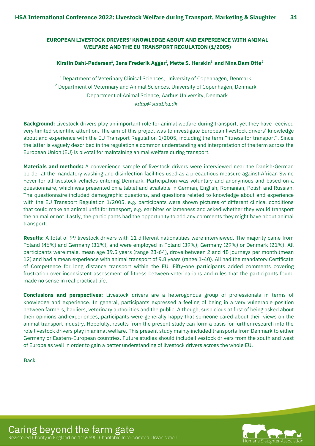#### <span id="page-30-0"></span>**EUROPEAN LIVESTOCK DRIVERS' KNOWLEDGE ABOUT AND EXPERIENCE WITH ANIMAL WELFARE AND THE EU TRANSPORT REGULATION (1/2005)**

#### **Kirstin Dahl-Pedersen , Jens Frederik Agger , Mette S. Herskin and Nina Dam Otte 1 2 3 2**

*kdap@sund.ku.dk*  $^{\rm 1}$ Department of Veterinary Clinical Sciences, University of Copenhagen, Denmark  $2$  Department of Veterinary and Animal Sciences, University of Copenhagen, Denmark  ${}^{3}$ Department of Animal Science, Aarhus University, Denmark

**Background:** Livestock drivers play an important role for animal welfare during transport, yet they have received very limited scientific attention. The aim of this project was to investigate European livestock drivers' knowledge about and experience with the EU Transport Regulation 1/2005, including the term "fitness for transport". Since the latter is vaguely described in the regulation a common understanding and interpretation of the term across the European Union (EU) is pivotal for maintaining animal welfare during transport.

**Materials and methods:** A convenience sample of livestock drivers were interviewed near the Danish-German border at the mandatory washing and disinfection facilities used as a precautious measure against African Swine Fever for all livestock vehicles entering Denmark. Participation was voluntary and anonymous and based on a questionnaire, which was presented on a tablet and available in German, English, Romanian, Polish and Russian. The questionnaire included demographic questions, and questions related to knowledge about and experience with the EU Transport Regulation 1/2005, e.g. participants were shown pictures of different clinical conditions that could make an animal unfit for transport, e.g. ear bites or lameness and asked whether they would transport the animal or not. Lastly, the participants had the opportunity to add any comments they might have about animal transport.

**Results:** A total of 99 livestock drivers with 11 different nationalities were interviewed. The majority came from Poland (46%) and Germany (31%), and were employed in Poland (39%), Germany (29%) or Denmark (21%). All participants were male, mean age 39.5 years (range 23-64), drove between 2 and 48 journeys per month (mean 12) and had a mean experience with animal transport of 9.8 years (range 1-40). All had the mandatory Certificate of Competence for long distance transport within the EU. Fifty-one participants added comments covering frustration over inconsistent assessment of fitness between veterinarians and rules that the participants found made no sense in real practical life.

**Conclusions and perspectives:** Livestock drivers are a heterogonous group of professionals in terms of knowledge and experience. In general, participants expressed a feeling of being in a very vulnerable position between farmers, hauliers, veterinary authorities and the public. Although, suspicious at first of being asked about their opinions and experiences, participants were generally happy that someone cared about their views on the animal transport industry. Hopefully, results from the present study can form a basis for further research into the role livestock drivers play in animal welfare. This present study mainly included transports from Denmark to either Germany or Eastern-European countries. Future studies should include livestock drivers from the south and west of Europe as well in order to gain a better understanding of livestock drivers across the whole EU.

**[Back](#page-8-0)** 



Caring beyond the farm gate Registered Charity in England no 1159690: Charitable Incorporated Organisation Humane Slaughter Association Humane Slaughter Associ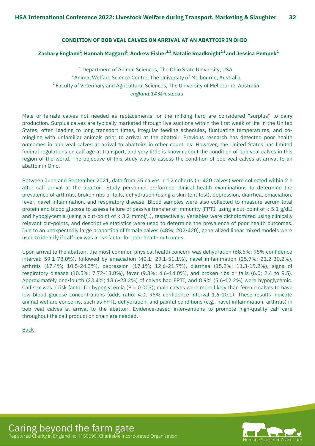#### **CONDITION OF BOB VEAL CALVES ON ARRIVAL AT AN ABATTOIR IN OHIO**

#### <span id="page-31-0"></span>Zachary England $^{\rm 1}$ , Hannah Maggard $^{\rm 1}$ , Andrew Fisher $^{2,3}$ , Natalie Roadknight $^{2,3}$ and Jessica Pempek $^{\rm 1}$

 $^{\rm 1}$  Department of Animal Sciences, The Ohio State University, USA *england.143@osu.edu*  $2$ Animal Welfare Science Centre, The University of Melbourne, Australia  $^3$ Faculty of Veterinary and Agricultural Sciences, The University of Melbourne, Australia

Male or female calves not needed as replacements for the milking herd are considered "surplus" to dairy production. Surplus calves are typically marketed through live auctions within the first week of life in the United States, often leading to long transport times, irregular feeding schedules, fluctuating temperatures, and comingling with unfamiliar animals prior to arrival at the abattoir. Previous research has detected poor health outcomes in bob veal calves at arrival to abattoirs in other countries. However, the United States has limited federal regulations on calf age at transport, and very little is known about the condition of bob veal calves in this region of the world. The objective of this study was to assess the condition of bob veal calves at arrival to an abattoir in Ohio.

Between June and September 2021, data from 35 calves in 12 cohorts (n=420 calves) were collected within 2 h after calf arrival at the abattoir. Study personnel performed clinical health examinations to determine the prevalence of arthritis, broken ribs or tails, dehydration (using a skin tent test), depression, diarrhea, emaciation, fever, navel inflammation, and respiratory disease. Blood samples were also collected to measure serum total protein and blood glucose to assess failure of passive transfer of immunity (FPTI; using a cut-point of < 5.1 g/dL) and hypoglycemia (using a cut-point of < 3.2 mmol/L), respectively. Variables were dichotomized using clinically relevant cut-points, and descriptive statistics were used to determine the prevalence of poor health outcomes. Due to an unexpectedly large proportion of female calves (48%; 202/420), generalized linear mixed models were used to identify if calf sex was a risk factor for poor health outcomes.

Upon arrival to the abattoir, the most common physical health concern was dehydration (68.6%; 95% confidence interval: 59.1-78.0%), followed by emaciation (40.1; 29.1-51.1%), navel inflammation (25.7%; 21.2-30.2%), arthritis (17.4%; 10.5-24.3%), depression (17.1%; 12.6-21.7%), diarrhea (15.2%; 11.3-19.2%), signs of respiratory disease (10.5%; 7.72-13.8%), fever (9.3%; 4.6-14.0%), and broken ribs or tails (6.0; 2.4 to 9.5). Approximately one-fourth (23.4%; 18.6-28.2%) of calves had FPTI, and 8.9% (5.6-12.2%) were hypoglycemic. Calf sex was a risk factor for hypoglycemia ( $P = 0.003$ ); male calves were more likely than female calves to have low blood glucose concentrations (odds ratio: 4.0; 95% confidence interval 1.6-10.1). These results indicate animal welfare concerns, such as FPTI, dehydration, and painful conditions (e.g., navel inflammation, arthritis) in bob veal calves at arrival to the abattoir. Evidence-based interventions to promote high-quality calf care throughout the calf production chain are needed.

[Back](#page-8-0)

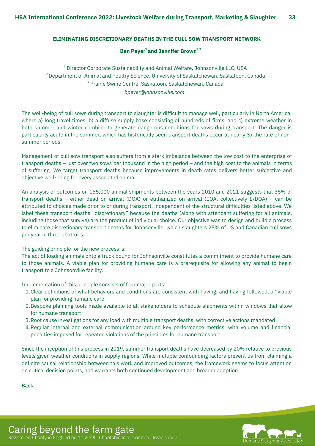#### <span id="page-32-0"></span>**ELIMINATING DISCRETIONARY DEATHS IN THE CULL SOW TRANSPORT NETWORK**

#### **Ben Peyer and Jennifer Brown 1 2,3**

*bpeyer@johnsonville.com*  $^{\rm 1}$  Director Corporate Sustainability and Animal Welfare, Johnsonville LLC, USA  $\mathrm{^{2}$ Department of Animal and Poultry Science, University of Saskatchewan, Saskatoon, Canada  $3$  Prairie Swine Centre, Saskatoon, Saskatchewan, Canada

The well-being of cull sows during transport to slaughter is difficult to manage well, particularly in North America, where a) long travel times, b) a diffuse supply base consisting of hundreds of firms, and c) extreme weather in both summer and winter combine to generate dangerous conditions for sows during transport. The danger is particularly acute in the summer, which has historically seen transport deaths occur at nearly 3x the rate of nonsummer periods.

Management of cull sow transport also suffers from a stark imbalance between the low cost to the enterprise of transport deaths – just over two sows per thousand in the high period – and the high cost to the animals in terms of suffering. We target transport deaths because improvements in death rates delivers better subjective and objective well-being for every associated animal.

An analysis of outcomes on 155,000 animal shipments between the years 2010 and 2021 suggests that 35% of transport deaths – either dead on arrival (DOA) or euthanized on arrival (EOA, collectively E/DOA) – can be attributed to choices made prior to or during transport, independent of the structural difficulties listed above. We label these transport deaths "discretionary" because the deaths (along with attendant suffering for all animals, including those that survive) are the product of individual choice. Our objective was to design and build a process to eliminate discretionary transport deaths for Johnsonville, which slaughters 28% of US and Canadian cull sows per year in three abattoirs.

The guiding principle for the new process is:

The act of loading animals onto a truck bound for Johnsonville constitutes a commitment to provide humane care to those animals. A viable plan for providing humane care is a prerequisite for allowing any animal to begin transport to a Johnsonville facility.

Implementation of this principle consists of four major parts:

- Clear definitions of what behaviors and conditions are consistent with having, and having followed, a "viable 1. plan for providing humane care"
- 2. Bespoke planning tools made available to all stakeholders to schedule shipments within windows that allow for humane transport
- 3. Root cause investigations for any load with multiple transport deaths, with corrective actions mandated
- Regular internal and external communication around key performance metrics, with volume and financial 4. penalties imposed for repeated violations of the principles for humane transport

Since the inception of this process in 2019, summer transport deaths have decreased by 20% relative to previous levels given weather conditions in supply regions. While multiple confounding factors prevent us from claiming a definite causal relationship between this work and improved outcomes, the framework seems to focus attention on critical decision points, and warrants both continued development and broader adoption.

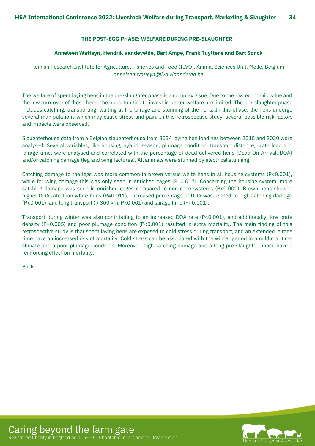#### **THE POST-EGG PHASE: WELFARE DURING PRE-SLAUGHTER**

#### **Anneleen Watteyn, Hendrik Vandevelde, Bart Ampe, Frank Tuyttens and Bart Sonck**

<span id="page-33-0"></span>Flemish Research Institute for Agriculture, Fisheries and Food (ILVO), Animal Sciences Unit, Melle, Belgium *anneleen.watteyn@ilvo.vlaanderen.be*

The welfare of spent laying hens in the pre-slaughter phase is a complex issue. Due to the low economic value and the low turn-over of those hens, the opportunities to invest in better welfare are limited. The pre-slaughter phase includes catching, transporting, waiting at the lairage and stunning of the hens. In this phase, the hens undergo several manipulations which may cause stress and pain. In this retrospective study, several possible risk factors and impacts were observed.

Slaughterhouse data from a Belgian slaughterhouse from 8534 laying hen loadings between 2015 and 2020 were analysed. Several variables, like housing, hybrid, season, plumage condition, transport distance, crate load and lairage time, were analysed and correlated with the percentage of dead delivered hens (Dead On Arrival, DOA) and/or catching damage (leg and wing factures). All animals were stunned by electrical stunning.

Catching damage to the legs was more common in brown versus white hens in all housing systems (P<0.001), while for wing damage this was only seen in enriched cages (P=0.017). Concerning the housing system, more catching damage was seen in enriched cages compared to non-cage systems (P<0.001). Brown hens showed higher DOA rate than white hens (P=0.011). Increased percentage of DOA was related to high catching damage (P<0.001), and long transport (> 300 km, P<0.001) and lairage time (P<0.001).

Transport during winter was also contributing to an increased DOA rate (P<0.001), and additionally, low crate density (P=0.005) and poor plumage condition (P<0.001) resulted in extra mortality. The main finding of this retrospective study is that spent laying hens are exposed to cold stress during transport, and an extended lairage time have an increased risk of mortality. Cold stress can be associated with the winter period in a mild maritime climate and a poor plumage condition. Moreover, high catching damage and a long pre-slaughter phase have a reinforcing effect on mortality.

[Back](#page-8-0)

Caring beyond the farm gate

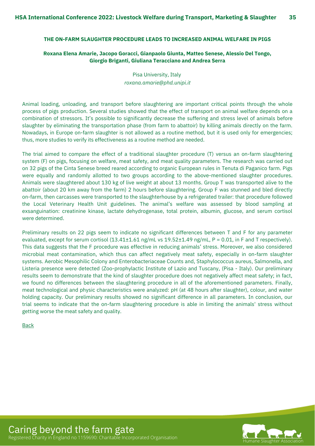#### <span id="page-34-0"></span>**THE ON-FARM SLAUGHTER PROCEDURE LEADS TO INCREASED ANIMAL WELFARE IN PIGS**

#### **Roxana Elena Amarie, Jacopo Goracci, Gianpaolo Giunta, Matteo Senese, Alessio Del Tongo, Giorgio Briganti, Giuliana Teracciano and Andrea Serra**

Pisa University, Italy *roxana.amarie@phd.unipi.it*

Animal loading, unloading, and transport before slaughtering are important critical points through the whole process of pigs production. Several studies showed that the effect of transport on animal welfare depends on a combination of stressors. It's possible to significantly decrease the suffering and stress level of animals before slaughter by eliminating the transportation phase (from farm to abattoir) by killing animals directly on the farm. Nowadays, in Europe on-farm slaughter is not allowed as a routine method, but it is used only for emergencies; thus, more studies to verify its effectiveness as a routine method are needed.

The trial aimed to compare the effect of a traditional slaughter procedure (T) versus an on-farm slaughtering system (F) on pigs, focusing on welfare, meat safety, and meat quality parameters. The research was carried out on 32 pigs of the Cinta Senese breed reared according to organic European rules in Tenuta di Paganico farm. Pigs were equally and randomly allotted to two groups according to the above-mentioned slaughter procedures. Animals were slaughtered about 130 kg of live weight at about 13 months. Group T was transported alive to the abattoir (about 20 km away from the farm) 2 hours before slaughtering. Group F was stunned and bled directly on-farm, then carcasses were transported to the slaughterhouse by a refrigerated trailer: that procedure followed the Local Veterinary Health Unit guidelines. The animal's welfare was assessed by blood sampling at exsanguination: creatinine kinase, lactate dehydrogenase, total protein, albumin, glucose, and serum cortisol were determined.

Preliminary results on 22 pigs seem to indicate no significant differences between T and F for any parameter evaluated, except for serum cortisol (13.41±1.61 ng/mL vs 19.52±1.49 ng/mL, P = 0.01, in F and T respectively). This data suggests that the F procedure was effective in reducing animals' stress. Moreover, we also considered microbial meat contamination, which thus can affect negatively meat safety, especially in on-farm slaughter systems. Aerobic Mesophilic Colony and Enterobacteriaceae Counts and, Staphylococcus aureus, Salmonella, and Listeria presence were detected (Zoo-prophylactic Institute of Lazio and Tuscany, (Pisa - Italy). Our preliminary results seem to demonstrate that the kind of slaughter procedure does not negatively affect meat safety; in fact, we found no differences between the slaughtering procedure in all of the aforementioned parameters. Finally, meat technological and physic characteristics were analyzed: pH (at 48 hours after slaughter), colour, and water holding capacity. Our preliminary results showed no significant difference in all parameters. In conclusion, our trial seems to indicate that the on-farm slaughtering procedure is able in limiting the animals' stress without getting worse the meat safety and quality.

[Back](#page-8-0)



Caring beyond the farm gate Registered Charity in England no 1159690: Charitable Incorporated Organisation Humane Slaughter Association Humane Slaughter Association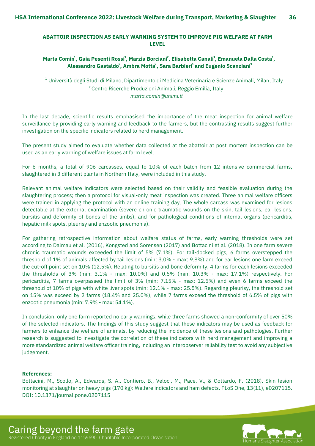#### <span id="page-35-0"></span>**ABATTOIR INSPECTION AS EARLY WARNING SYSTEM TO IMPROVE PIG WELFARE AT FARM LEVEL**

#### Marta Comin<sup>1</sup>, Gaia Pesenti Rossi<sup>1</sup>, Marzia Borciani<sup>2</sup>, Elisabetta Canali<sup>1</sup>, Emanuela Dalla Costa<sup>1</sup>, **Alessandro Gastaldo , Ambra Motta , Sara Barbieri and Eugenio Scanziani 1 1 2 2**

*marta.comin@unimi.it*  $^{\text{\tiny{\textup{1}}}}$ Università degli Studi di Milano, Dipartimento di Medicina Veterinaria e Scienze Animali, Milan, Italy <sup>2</sup> Centro Ricerche Produzioni Animali, Reggio Emilia, Italy

In the last decade, scientific results emphasised the importance of the meat inspection for animal welfare surveillance by providing early warning and feedback to the farmers, but the contrasting results suggest further investigation on the specific indicators related to herd management.

The present study aimed to evaluate whether data collected at the abattoir at post mortem inspection can be used as an early warning of welfare issues at farm level.

For 6 months, a total of 906 carcasses, equal to 10% of each batch from 12 intensive commercial farms, slaughtered in 3 different plants in Northern Italy, were included in this study.

Relevant animal welfare indicators were selected based on their validity and feasible evaluation during the slaughtering process; then a protocol for visual-only meat inspection was created. Three animal welfare officers were trained in applying the protocol with an online training day. The whole carcass was examined for lesions detectable at the external examination (severe chronic traumatic wounds on the skin, tail lesions, ear lesions, bursitis and deformity of bones of the limbs), and for pathological conditions of internal organs (pericarditis, hepatic milk spots, pleurisy and enzootic pneumonia).

For gathering retrospective information about welfare status of farms, early warning thresholds were set according to Dalmau et al. (2016), Kongsted and Sorensen (2017) and Bottacini et al. (2018). In one farm severe chronic traumatic wounds exceeded the limit of 5% (7.1%). For tail-docked pigs, 6 farms overstepped the threshold of 1% of animals affected by tail lesions (min: 3.0% - max: 9.8%) and for ear lesions one farm exceed the cut-off point set on 10% (12.5%). Relating to bursitis and bone deformity, 4 farms for each lesions exceeded the thresholds of 3% (min: 3.1% - max: 10.0%) and 0.5% (min: 10.3% - max: 17.1%) respectively. For pericarditis, 7 farms overpassed the limit of 3% (min: 7.15% - max: 12.5%) and even 6 farms exceed the threshold of 10% of pigs with white liver spots (min: 12.1% - max: 25.5%). Regarding pleurisy, the threshold set on 15% was exceed by 2 farms (18.4% and 25.0%), while 7 farms exceed the threshold of 6.5% of pigs with enzootic pneumonia (min: 7.9% - max: 54.1%).

In conclusion, only one farm reported no early warnings, while three farms showed a non-conformity of over 50% of the selected indicators. The findings of this study suggest that these indicators may be used as feedback for farmers to enhance the welfare of animals, by reducing the incidence of these lesions and pathologies. Further research is suggested to investigate the correlation of these indicators with herd management and improving a more standardized animal welfare officer training, including an interobserver reliability test to avoid any subjective judgement.

#### **References:**

Bottacini, M., Scollo, A., Edwards, S. A., Contiero, B., Veloci, M., Pace, V., & Gottardo, F. (2018). Skin lesion monitoring at slaughter on heavy pigs (170 kg): Welfare indicators and ham defects. PLoS One, 13(11), e0207115. DOI: 10.1371/journal.pone.0207115

Caring beyond the farm gate Registered Charity in England no 1159690: Charitable Incorporated Organisation Humane Slaughter Association Humane Slaughter Association